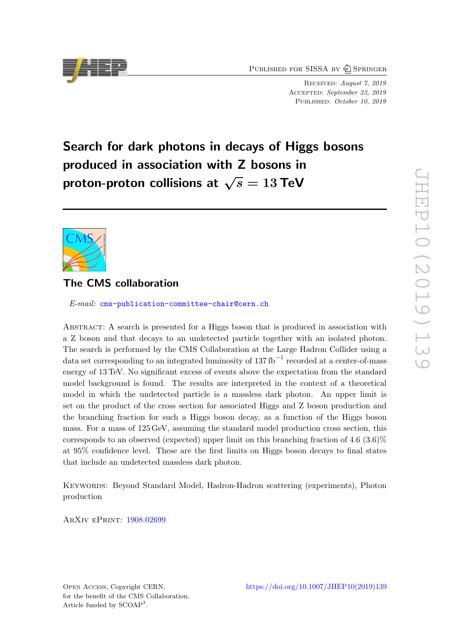PUBLISHED FOR SISSA BY 2 SPRINGER

Received: August 7, 2019 ACCEPTED: September 23, 2019 PUBLISHED: October 10, 2019

# Search for dark photons in decays of Higgs bosons produced in association with Z bosons in proton-proton collisions at  $\sqrt{s} = 13$  TeV



## The CMS collaboration

E-mail: [cms-publication-committee-chair@cern.ch](mailto:cms-publication-committee-chair@cern.ch)

Abstract: A search is presented for a Higgs boson that is produced in association with a Z boson and that decays to an undetected particle together with an isolated photon. The search is performed by the CMS Collaboration at the Large Hadron Collider using a data set corresponding to an integrated luminosity of 137 fb<sup>-1</sup> recorded at a center-of-mass energy of 13 TeV. No significant excess of events above the expectation from the standard model background is found. The results are interpreted in the context of a theoretical model in which the undetected particle is a massless dark photon. An upper limit is set on the product of the cross section for associated Higgs and Z boson production and the branching fraction for such a Higgs boson decay, as a function of the Higgs boson mass. For a mass of 125 GeV, assuming the standard model production cross section, this corresponds to an observed (expected) upper limit on this branching fraction of  $4.6$  (3.6)% at 95% confidence level. These are the first limits on Higgs boson decays to final states that include an undetected massless dark photon.

Keywords: Beyond Standard Model, Hadron-Hadron scattering (experiments), Photon production

ArXiv ePrint: [1908.02699](https://arxiv.org/abs/1908.02699)

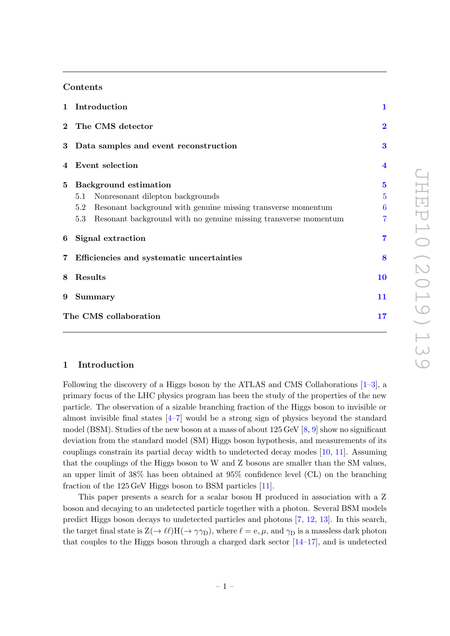## Contents

|   | 1 Introduction                                                         | $\mathbf{1}$            |  |
|---|------------------------------------------------------------------------|-------------------------|--|
|   | 2 The CMS detector                                                     |                         |  |
|   | 3 Data samples and event reconstruction                                |                         |  |
|   | 4 Event selection                                                      | $\overline{\mathbf{4}}$ |  |
|   | 5 Background estimation                                                | $\overline{5}$          |  |
|   | Nonresonant dilepton backgrounds<br>5.1                                | $\overline{5}$          |  |
|   | Resonant background with genuine missing transverse momentum<br>5.2    | 6                       |  |
|   | 5.3<br>Resonant background with no genuine missing transverse momentum | 7                       |  |
|   | 6 Signal extraction                                                    | 7                       |  |
| 7 | Efficiencies and systematic uncertainties                              |                         |  |
| 8 | <b>Results</b>                                                         |                         |  |
| 9 | Summary                                                                | 11                      |  |
|   | The CMS collaboration                                                  |                         |  |
|   |                                                                        |                         |  |

### <span id="page-1-0"></span>1 Introduction

Following the discovery of a Higgs boson by the ATLAS and CMS Collaborations [\[1](#page-13-0)[–3\]](#page-13-1), a primary focus of the LHC physics program has been the study of the properties of the new particle. The observation of a sizable branching fraction of the Higgs boson to invisible or almost invisible final states [\[4](#page-13-2)[–7\]](#page-13-3) would be a strong sign of physics beyond the standard model (BSM). Studies of the new boson at a mass of about 125 GeV [\[8,](#page-13-4) [9\]](#page-13-5) show no significant deviation from the standard model (SM) Higgs boson hypothesis, and measurements of its couplings constrain its partial decay width to undetected decay modes [\[10,](#page-13-6) [11\]](#page-14-0). Assuming that the couplings of the Higgs boson to W and Z bosons are smaller than the SM values, an upper limit of 38% has been obtained at 95% confidence level (CL) on the branching fraction of the 125 GeV Higgs boson to BSM particles [\[11\]](#page-14-0).

This paper presents a search for a scalar boson H produced in association with a Z boson and decaying to an undetected particle together with a photon. Several BSM models predict Higgs boson decays to undetected particles and photons [\[7,](#page-13-3) [12,](#page-14-1) [13\]](#page-14-2). In this search, the target final state is  $Z(\rightarrow \ell\ell)H(\rightarrow \gamma\gamma_D)$ , where  $\ell = e, \mu$ , and  $\gamma_D$  is a massless dark photon that couples to the Higgs boson through a charged dark sector  $[14–17]$  $[14–17]$ , and is undetected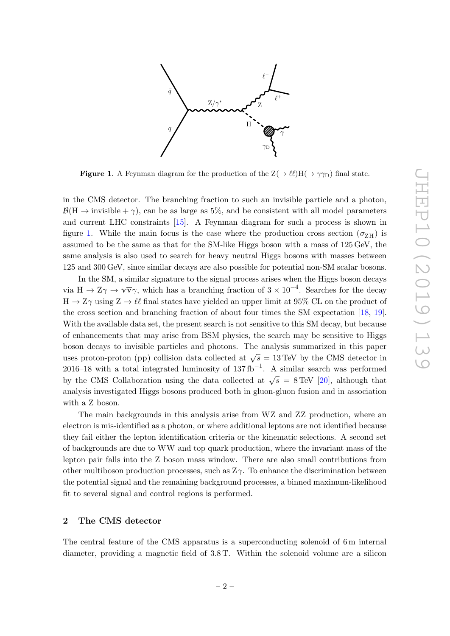

<span id="page-2-1"></span>**Figure 1.** A Feynman diagram for the production of the  $Z(\rightarrow \ell\ell)H(\rightarrow \gamma\gamma_D)$  final state.

in the CMS detector. The branching fraction to such an invisible particle and a photon,  $\mathcal{B}(H \to \text{invisible} + \gamma)$ , can be as large as 5%, and be consistent with all model parameters and current LHC constraints [\[15\]](#page-14-5). A Feynman diagram for such a process is shown in figure [1.](#page-2-1) While the main focus is the case where the production cross section  $(\sigma_{ZH})$  is assumed to be the same as that for the SM-like Higgs boson with a mass of 125 GeV, the same analysis is also used to search for heavy neutral Higgs bosons with masses between 125 and 300 GeV, since similar decays are also possible for potential non-SM scalar bosons.

In the SM, a similar signature to the signal process arises when the Higgs boson decays via H  $\rightarrow$  Z $\gamma \rightarrow \nu \bar{\nu} \gamma$ , which has a branching fraction of 3 × 10<sup>-4</sup>. Searches for the decay  $H \to Z\gamma$  using  $Z \to \ell\ell$  final states have yielded an upper limit at 95% CL on the product of the cross section and branching fraction of about four times the SM expectation [\[18,](#page-14-6) [19\]](#page-14-7). With the available data set, the present search is not sensitive to this SM decay, but because of enhancements that may arise from BSM physics, the search may be sensitive to Higgs boson decays to invisible particles and photons. The analysis summarized in this paper uses proton-proton (pp) collision data collected at  $\sqrt{s} = 13$  TeV by the CMS detector in 2016–18 with a total integrated luminosity of  $137 \text{ fb}^{-1}$ . A similar search was performed by the CMS Collaboration using the data collected at  $\sqrt{s} = 8 \text{ TeV}$  [\[20\]](#page-14-8), although that analysis investigated Higgs bosons produced both in gluon-gluon fusion and in association with a Z boson.

The main backgrounds in this analysis arise from WZ and ZZ production, where an electron is mis-identified as a photon, or where additional leptons are not identified because they fail either the lepton identification criteria or the kinematic selections. A second set of backgrounds are due to WW and top quark production, where the invariant mass of the lepton pair falls into the Z boson mass window. There are also small contributions from other multiboson production processes, such as  $Z_{\gamma}$ . To enhance the discrimination between the potential signal and the remaining background processes, a binned maximum-likelihood fit to several signal and control regions is performed.

#### <span id="page-2-0"></span>2 The CMS detector

The central feature of the CMS apparatus is a superconducting solenoid of 6 m internal diameter, providing a magnetic field of 3.8 T. Within the solenoid volume are a silicon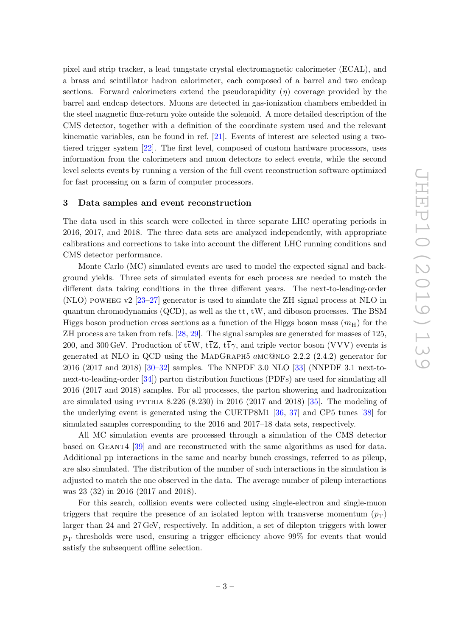pixel and strip tracker, a lead tungstate crystal electromagnetic calorimeter (ECAL), and a brass and scintillator hadron calorimeter, each composed of a barrel and two endcap sections. Forward calorimeters extend the pseudorapidity  $(\eta)$  coverage provided by the barrel and endcap detectors. Muons are detected in gas-ionization chambers embedded in the steel magnetic flux-return yoke outside the solenoid. A more detailed description of the CMS detector, together with a definition of the coordinate system used and the relevant kinematic variables, can be found in ref. [\[21\]](#page-14-9). Events of interest are selected using a twotiered trigger system [\[22\]](#page-14-10). The first level, composed of custom hardware processors, uses information from the calorimeters and muon detectors to select events, while the second level selects events by running a version of the full event reconstruction software optimized for fast processing on a farm of computer processors.

### <span id="page-3-0"></span>3 Data samples and event reconstruction

The data used in this search were collected in three separate LHC operating periods in 2016, 2017, and 2018. The three data sets are analyzed independently, with appropriate calibrations and corrections to take into account the different LHC running conditions and CMS detector performance.

Monte Carlo (MC) simulated events are used to model the expected signal and background yields. Three sets of simulated events for each process are needed to match the different data taking conditions in the three different years. The next-to-leading-order (NLO) powheg v2 [\[23–](#page-14-11)[27\]](#page-14-12) generator is used to simulate the ZH signal process at NLO in quantum chromodynamics (QCD), as well as the  $t\bar{t}$ , tW, and diboson processes. The BSM Higgs boson production cross sections as a function of the Higgs boson mass  $(m_H)$  for the ZH process are taken from refs. [\[28,](#page-14-13) [29\]](#page-14-14). The signal samples are generated for masses of 125, 200, and 300 GeV. Production of  $\text{ttw}, \text{ttz}, \text{tty}$ , and triple vector boson (VVV) events is generated at NLO in QCD using the MADGRAPH5  $a$ MC@NLO 2.2.2 (2.4.2) generator for 2016 (2017 and 2018) [\[30](#page-15-0)[–32\]](#page-15-1) samples. The NNPDF 3.0 NLO [\[33\]](#page-15-2) (NNPDF 3.1 next-tonext-to-leading-order [\[34\]](#page-15-3)) parton distribution functions (PDFs) are used for simulating all 2016 (2017 and 2018) samples. For all processes, the parton showering and hadronization are simulated using PYTHIA  $8.226$   $(8.230)$  in 2016 (2017 and 2018) [\[35\]](#page-15-4). The modeling of the underlying event is generated using the CUETP8M1 [\[36,](#page-15-5) [37\]](#page-15-6) and CP5 tunes [\[38\]](#page-15-7) for simulated samples corresponding to the 2016 and 2017–18 data sets, respectively.

All MC simulation events are processed through a simulation of the CMS detector based on Geant4 [\[39\]](#page-15-8) and are reconstructed with the same algorithms as used for data. Additional pp interactions in the same and nearby bunch crossings, referred to as pileup, are also simulated. The distribution of the number of such interactions in the simulation is adjusted to match the one observed in the data. The average number of pileup interactions was 23 (32) in 2016 (2017 and 2018).

For this search, collision events were collected using single-electron and single-muon triggers that require the presence of an isolated lepton with transverse momentum  $(p_T)$ larger than 24 and 27 GeV, respectively. In addition, a set of dilepton triggers with lower  $p_{\rm T}$  thresholds were used, ensuring a trigger efficiency above 99% for events that would satisfy the subsequent offline selection.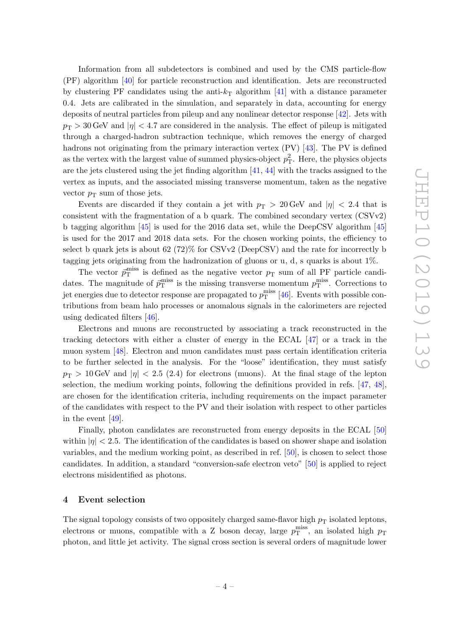Information from all subdetectors is combined and used by the CMS particle-flow (PF) algorithm [\[40\]](#page-15-9) for particle reconstruction and identification. Jets are reconstructed by clustering PF candidates using the anti- $k_T$  algorithm [\[41\]](#page-15-10) with a distance parameter 0.4. Jets are calibrated in the simulation, and separately in data, accounting for energy deposits of neutral particles from pileup and any nonlinear detector response [\[42\]](#page-15-11). Jets with  $p_T > 30$  GeV and  $|\eta| < 4.7$  are considered in the analysis. The effect of pileup is mitigated through a charged-hadron subtraction technique, which removes the energy of charged hadrons not originating from the primary interaction vertex (PV) [\[43\]](#page-15-12). The PV is defined as the vertex with the largest value of summed physics-object  $p_T^2$ . Here, the physics objects are the jets clustered using the jet finding algorithm [\[41,](#page-15-10) [44\]](#page-15-13) with the tracks assigned to the vertex as inputs, and the associated missing transverse momentum, taken as the negative vector  $p_T$  sum of those jets.

Events are discarded if they contain a jet with  $p_T > 20$  GeV and  $|\eta| < 2.4$  that is consistent with the fragmentation of a b quark. The combined secondary vertex (CSVv2) b tagging algorithm [\[45\]](#page-15-14) is used for the 2016 data set, while the DeepCSV algorithm [\[45\]](#page-15-14) is used for the 2017 and 2018 data sets. For the chosen working points, the efficiency to select b quark jets is about 62 (72)% for CSVv2 (DeepCSV) and the rate for incorrectly b tagging jets originating from the hadronization of gluons or u, d, s quarks is about 1%.

The vector  $\vec{p}_{\rm T}^{\rm miss}$  is defined as the negative vector  $p_{\rm T}$  sum of all PF particle candidates. The magnitude of  $\vec{p}_{\rm T}^{\rm miss}$  is the missing transverse momentum  $p_{\rm T}^{\rm miss}$ . Corrections to jet energies due to detector response are propagated to  $p_T^{\text{miss}}$  [\[46\]](#page-15-15). Events with possible contributions from beam halo processes or anomalous signals in the calorimeters are rejected using dedicated filters [\[46\]](#page-15-15).

Electrons and muons are reconstructed by associating a track reconstructed in the tracking detectors with either a cluster of energy in the ECAL [\[47\]](#page-15-16) or a track in the muon system [\[48\]](#page-15-17). Electron and muon candidates must pass certain identification criteria to be further selected in the analysis. For the "loose" identification, they must satisfy  $p_{\rm T} > 10$  GeV and  $|\eta| < 2.5$  (2.4) for electrons (muons). At the final stage of the lepton selection, the medium working points, following the definitions provided in refs. [\[47,](#page-15-16) [48\]](#page-15-17), are chosen for the identification criteria, including requirements on the impact parameter of the candidates with respect to the PV and their isolation with respect to other particles in the event [\[49\]](#page-15-18).

Finally, photon candidates are reconstructed from energy deposits in the ECAL [\[50\]](#page-16-0) within  $|\eta| < 2.5$ . The identification of the candidates is based on shower shape and isolation variables, and the medium working point, as described in ref. [\[50\]](#page-16-0), is chosen to select those candidates. In addition, a standard "conversion-safe electron veto" [\[50\]](#page-16-0) is applied to reject electrons misidentified as photons.

#### <span id="page-4-0"></span>4 Event selection

The signal topology consists of two oppositely charged same-flavor high  $p_T$  isolated leptons, electrons or muons, compatible with a Z boson decay, large  $p_T^{\text{miss}}$ , an isolated high  $p_T$ photon, and little jet activity. The signal cross section is several orders of magnitude lower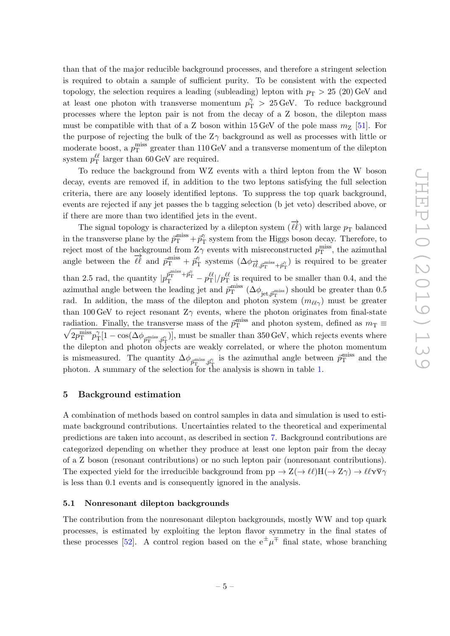than that of the major reducible background processes, and therefore a stringent selection is required to obtain a sample of sufficient purity. To be consistent with the expected topology, the selection requires a leading (subleading) lepton with  $p_T > 25$  (20) GeV and at least one photon with transverse momentum  $p_T^{\gamma} > 25 \,\text{GeV}$ . To reduce background processes where the lepton pair is not from the decay of a Z boson, the dilepton mass must be compatible with that of a Z boson within 15 GeV of the pole mass  $m_Z$  [\[51\]](#page-16-1). For the purpose of rejecting the bulk of the  $Z\gamma$  background as well as processes with little or moderate boost, a  $p_T^{\text{miss}}$  greater than 110 GeV and a transverse momentum of the dilepton system  $p_{\text{T}}^{\ell\ell}$  larger than 60 GeV are required.

To reduce the background from WZ events with a third lepton from the W boson decay, events are removed if, in addition to the two leptons satisfying the full selection criteria, there are any loosely identified leptons. To suppress the top quark background, events are rejected if any jet passes the b tagging selection (b jet veto) described above, or if there are more than two identified jets in the event.

The signal topology is characterized by a dilepton system ( $\overline{\ell\ell}$ ) with large  $p_T$  balanced in the transverse plane by the  $\vec{p}_{\rm T}^{\rm miss} + \vec{p}_{\rm T}^{\gamma}$  $T_{\text{T}}^{\gamma}$  system from the Higgs boson decay. Therefore, to reject most of the background from  $Z\gamma$  events with misreconstructed  $p_T^{\text{miss}}$ , the azimuthal angle between the  $\vec{\ell}$  and  $\vec{p}_{\text{T}}^{\text{miss}} + \vec{p}_{\text{T}}^{\gamma}$  $\int_{\mathcal{T}}^{\gamma}$  systems  $(\Delta \phi_{\vec{\ell}\ell, \vec{p}_{\mathcal{T}}^{\text{miss}} + \vec{p}_{\mathcal{T}}^{\gamma}})$  is required to be greater than 2.5 rad, the quantity  $|p_T^{\vec{p}_T^{miss}+\vec{p}_T} - p_T^{\ell\ell}|/p_T^{\ell\ell}$  is required to be smaller than 0.4, and the azimuthal angle between the leading jet and  $\vec{p}_{\rm T}^{\rm miss}$  ( $\Delta\phi_{\rm jet, \vec{p}_{\rm T}^{\rm miss}}$ ) should be greater than 0.5 rad. In addition, the mass of the dilepton and photon system  $(m_{\ell\ell\gamma})$  must be greater than 100 GeV to reject resonant  $Z\gamma$  events, where the photon originates from final-state radiation. Finally, the transverse mass of the  $\vec{p}_{\text{T}}^{\text{miss}}$  and photon system, defined as  $m_{\text{T}} \equiv$  $\sqrt{2p_{\rm T}^{\rm miss} p_{\rm T}^{\gamma}}$  $T_{\rm T}[1-\cos(\Delta\phi_{\vec{p}_{\rm T}^{\rm miss},\vec{p}_{\rm T}^{\gamma}})],$  must be smaller than 350 GeV, which rejects events where the dilepton and photon objects are weakly correlated, or where the photon momentum is mismeasured. The quantity  $\Delta\phi_{\vec{p}_{\text{T}}^{\text{miss}}, \vec{p}_{\text{T}}^{\gamma}}$  is the azimuthal angle between  $\vec{p}_{\text{T}}^{\text{miss}}$  and the photon. A summary of the selection for the analysis is shown in table [1.](#page-6-1)

### <span id="page-5-0"></span>5 Background estimation

A combination of methods based on control samples in data and simulation is used to estimate background contributions. Uncertainties related to the theoretical and experimental predictions are taken into account, as described in section [7.](#page-8-0) Background contributions are categorized depending on whether they produce at least one lepton pair from the decay of a Z boson (resonant contributions) or no such lepton pair (nonresonant contributions). The expected yield for the irreducible background from  $pp \to Z(\to \ell\ell)H(\to Z\gamma) \to \ell\ell\nu\bar{\nu}\gamma\gamma$ is less than 0.1 events and is consequently ignored in the analysis.

#### <span id="page-5-1"></span>5.1 Nonresonant dilepton backgrounds

The contribution from the nonresonant dilepton backgrounds, mostly WW and top quark processes, is estimated by exploiting the lepton flavor symmetry in the final states of these processes [\[52\]](#page-16-2). A control region based on the  $e^{\pm}\mu^{+}$  final state, whose branching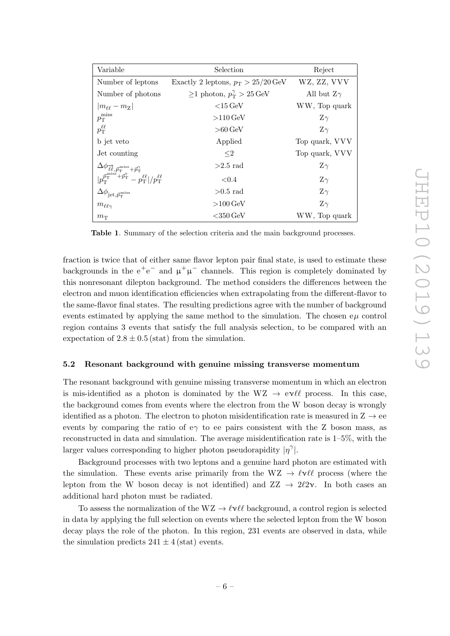| Variable                                                                                                       | Selection                                         | Reject            |
|----------------------------------------------------------------------------------------------------------------|---------------------------------------------------|-------------------|
| Number of leptons                                                                                              | Exactly 2 leptons, $p_T > 25/20 \,\text{GeV}$     | WZ, ZZ, VVV       |
| Number of photons                                                                                              | $\geq$ 1 photon, $p_T^{\gamma} > 25 \,\text{GeV}$ | All but $Z\gamma$ |
| $ m_{\ell\ell}-m_{\rm Z} $                                                                                     | ${<}15\,\text{GeV}$                               | WW, Top quark     |
| $p_{\rm T}^{\rm miss}$                                                                                         | $>110$ GeV                                        | $Z\gamma$         |
| $p_{\rm T}^{\ell\ell}$                                                                                         | $>60$ GeV                                         | $Z\gamma$         |
| b jet veto                                                                                                     | Applied                                           | Top quark, VVV    |
| Jet counting                                                                                                   | $\leq$ 2                                          | Top quark, VVV    |
| $\Delta\phi_{\overrightarrow{\ell\ell},\vec{p}_{\rm T}^{\rm miss}+\vec{p}_{\rm T}^{\gamma}}$                   | $>2.5$ rad                                        | $Z\gamma$         |
| $ p_{\rm T}^{\vec{p}_{\rm T}^{\rm miss}+\vec{p}_{\rm T}^{\gamma}}-p_{\rm T}^{\ell\ell} /p_{\rm T}^{\ell\ell} $ | < 0.4                                             | $Z\gamma$         |
| $\Delta\phi_{\rm jet,\vec{\it p}_T^{\rm miss}}$                                                                | $>0.5$ rad                                        | $Z\gamma$         |
| $m_{\ell\ell\gamma}$                                                                                           | $>$ 100 GeV                                       | $Z\gamma$         |
| $m_{\rm T}$                                                                                                    | ${<}350\,\text{GeV}$                              | WW, Top quark     |

<span id="page-6-1"></span>Table 1. Summary of the selection criteria and the main background processes.

fraction is twice that of either same flavor lepton pair final state, is used to estimate these backgrounds in the  $e^+e^-$  and  $\mu^+\mu^-$  channels. This region is completely dominated by this nonresonant dilepton background. The method considers the differences between the electron and muon identification efficiencies when extrapolating from the different-flavor to the same-flavor final states. The resulting predictions agree with the number of background events estimated by applying the same method to the simulation. The chosen  $e\mu$  control region contains 3 events that satisfy the full analysis selection, to be compared with an expectation of  $2.8 \pm 0.5$  (stat) from the simulation.

#### <span id="page-6-0"></span>5.2 Resonant background with genuine missing transverse momentum

The resonant background with genuine missing transverse momentum in which an electron is mis-identified as a photon is dominated by the WZ  $\rightarrow$  ev $\ell\ell$  process. In this case, the background comes from events where the electron from the W boson decay is wrongly identified as a photon. The electron to photon misidentification rate is measured in  $Z \rightarrow ee$ events by comparing the ratio of e $\gamma$  to ee pairs consistent with the Z boson mass, as reconstructed in data and simulation. The average misidentification rate is 1–5%, with the larger values corresponding to higher photon pseudorapidity  $|\eta^{\gamma}|$ .

Background processes with two leptons and a genuine hard photon are estimated with the simulation. These events arise primarily from the  $WZ \to \ell \nu \ell \ell$  process (where the lepton from the W boson decay is not identified) and  $ZZ \rightarrow 2\ell 2\nu$ . In both cases an additional hard photon must be radiated.

To assess the normalization of the  $WZ \to \ell \nu \ell \ell$  background, a control region is selected in data by applying the full selection on events where the selected lepton from the W boson decay plays the role of the photon. In this region, 231 events are observed in data, while the simulation predicts  $241 \pm 4$  (stat) events.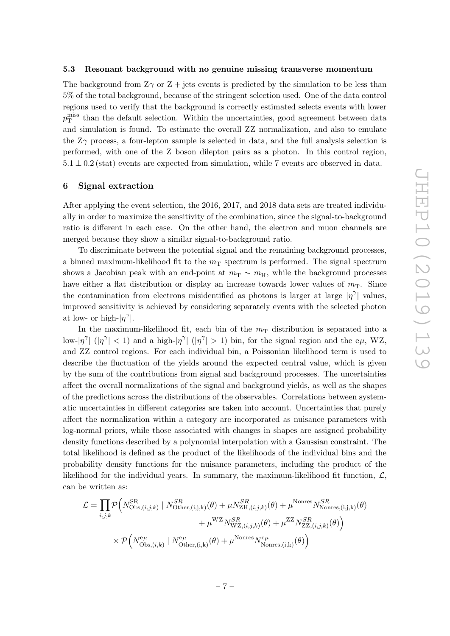### <span id="page-7-0"></span>5.3 Resonant background with no genuine missing transverse momentum

The background from  $Z\gamma$  or  $Z +$  jets events is predicted by the simulation to be less than 5% of the total background, because of the stringent selection used. One of the data control regions used to verify that the background is correctly estimated selects events with lower  $p_T^{\text{miss}}$  than the default selection. Within the uncertainties, good agreement between data and simulation is found. To estimate the overall ZZ normalization, and also to emulate the  $Z_{\gamma}$  process, a four-lepton sample is selected in data, and the full analysis selection is performed, with one of the Z boson dilepton pairs as a photon. In this control region,  $5.1 \pm 0.2$  (stat) events are expected from simulation, while 7 events are observed in data.

#### <span id="page-7-1"></span>6 Signal extraction

After applying the event selection, the 2016, 2017, and 2018 data sets are treated individually in order to maximize the sensitivity of the combination, since the signal-to-background ratio is different in each case. On the other hand, the electron and muon channels are merged because they show a similar signal-to-background ratio.

To discriminate between the potential signal and the remaining background processes, a binned maximum-likelihood fit to the  $m<sub>T</sub>$  spectrum is performed. The signal spectrum shows a Jacobian peak with an end-point at  $m<sub>T</sub> \sim m<sub>H</sub>$ , while the background processes have either a flat distribution or display an increase towards lower values of  $m<sub>T</sub>$ . Since the contamination from electrons misidentified as photons is larger at large  $|\eta^{\gamma}|$  values, improved sensitivity is achieved by considering separately events with the selected photon at low- or high- $|\eta^{\gamma}|$ .

In the maximum-likelihood fit, each bin of the  $m<sub>T</sub>$  distribution is separated into a low- $|\eta^{\gamma}|$  ( $|\eta^{\gamma}| < 1$ ) and a high- $|\eta^{\gamma}|$  ( $|\eta^{\gamma}| > 1$ ) bin, for the signal region and the e $\mu$ , WZ, and ZZ control regions. For each individual bin, a Poissonian likelihood term is used to describe the fluctuation of the yields around the expected central value, which is given by the sum of the contributions from signal and background processes. The uncertainties affect the overall normalizations of the signal and background yields, as well as the shapes of the predictions across the distributions of the observables. Correlations between systematic uncertainties in different categories are taken into account. Uncertainties that purely affect the normalization within a category are incorporated as nuisance parameters with log-normal priors, while those associated with changes in shapes are assigned probability density functions described by a polynomial interpolation with a Gaussian constraint. The total likelihood is defined as the product of the likelihoods of the individual bins and the probability density functions for the nuisance parameters, including the product of the likelihood for the individual years. In summary, the maximum-likelihood fit function,  $\mathcal{L}$ , can be written as:

$$
\mathcal{L} = \prod_{i,j,k} \mathcal{P}\Big(N_{\text{Obs},(i,j,k)}^{\text{SR}} \mid N_{\text{Other},(i,j,k)}^{\text{SR}}(\theta) + \mu N_{\text{ZH},(i,j,k)}^{\text{SR}}(\theta) + \mu^{\text{Nonres}} N_{\text{Nonres},(i,j,k)}^{\text{SR}}(\theta) + \mu^{\text{WZ}} N_{\text{WZ},(i,j,k)}^{\text{SR}}(\theta) + \mu^{\text{ZZ}} N_{\text{ZZ},(i,j,k)}^{\text{SR}}(\theta)\Big) \times \mathcal{P}\Big(N_{\text{Obs},(i,k)}^{\text{e}\mu} \mid N_{\text{Other},(i,k)}^{\text{e}\mu}(\theta) + \mu^{\text{Nonres}} N_{\text{Nonres},(i,k)}^{\text{e}\mu}(\theta)\Big)
$$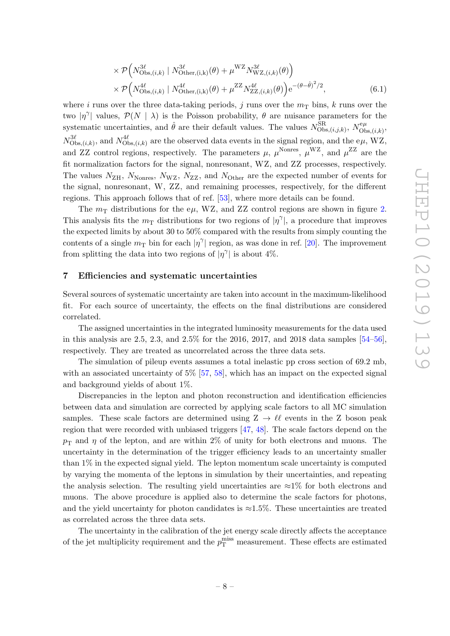$$
\times \mathcal{P}\Big(N_{\text{Obs},(i,k)}^{\mathcal{U}} \mid N_{\text{Other},(i,k)}^{\mathcal{U}}(\theta) + \mu^{WZ} N_{WZ,(i,k)}^{\mathcal{U}}(\theta)\Big) \times \mathcal{P}\Big(N_{\text{Obs},(i,k)}^{\mathcal{U}} \mid N_{\text{Other},(i,k)}^{\mathcal{U}}(\theta) + \mu^{ZZ} N_{ZZ,(i,k)}^{\mathcal{U}}(\theta)\Big) e^{-(\theta - \hat{\theta})^2/2},
$$
\n(6.1)

where i runs over the three data-taking periods, j runs over the  $m<sub>T</sub>$  bins, k runs over the two  $|\eta^{\gamma}|$  values,  $\mathcal{P}(N | \lambda)$  is the Poisson probability,  $\theta$  are nuisance parameters for the systematic uncertainties, and  $\hat{\theta}$  are their default values. The values  $N_{\text{Obs},(i,j,k)}^{\text{SR}}, N_{\text{Ob}}^{\text{e}\mu}$  $\sum_{i=1}^{\infty}$  $N_{\text{Obs},(i,k)}^{3\ell}$ , and  $N_{\text{Obs},(i,k)}^{4\ell}$  are the observed data events in the signal region, and the e $\mu$ , WZ, and ZZ control regions, respectively. The parameters  $\mu$ ,  $\mu^{\text{Nonres}}, \mu^{\text{WZ}},$  and  $\mu^{\text{ZZ}}$  are the fit normalization factors for the signal, nonresonant, WZ, and ZZ processes, respectively. The values  $N_{\rm ZH}$ ,  $N_{\rm Nonres}$ ,  $N_{\rm WZ}$ ,  $N_{\rm ZZ}$ , and  $N_{\rm Other}$  are the expected number of events for the signal, nonresonant, W, ZZ, and remaining processes, respectively, for the different regions. This approach follows that of ref. [\[53\]](#page-16-3), where more details can be found.

The  $m<sub>T</sub>$  distributions for the e $\mu$ , WZ, and ZZ control regions are shown in figure [2.](#page-9-0) This analysis fits the  $m<sub>T</sub>$  distributions for two regions of  $|\eta^{\gamma}|$ , a procedure that improves the expected limits by about 30 to 50% compared with the results from simply counting the contents of a single  $m<sub>T</sub>$  bin for each  $|\eta^{\gamma}|$  region, as was done in ref. [\[20\]](#page-14-8). The improvement from splitting the data into two regions of  $|\eta^{\gamma}|$  is about 4%.

#### <span id="page-8-0"></span>7 Efficiencies and systematic uncertainties

Several sources of systematic uncertainty are taken into account in the maximum-likelihood fit. For each source of uncertainty, the effects on the final distributions are considered correlated.

The assigned uncertainties in the integrated luminosity measurements for the data used in this analysis are 2.5, 2.3, and 2.5% for the 2016, 2017, and 2018 data samples [\[54–](#page-16-4)[56\]](#page-16-5), respectively. They are treated as uncorrelated across the three data sets.

The simulation of pileup events assumes a total inelastic pp cross section of 69.2 mb, with an associated uncertainty of 5% [\[57,](#page-16-6) [58\]](#page-16-7), which has an impact on the expected signal and background yields of about 1%.

Discrepancies in the lepton and photon reconstruction and identification efficiencies between data and simulation are corrected by applying scale factors to all MC simulation samples. These scale factors are determined using  $Z \to \ell \ell$  events in the Z boson peak region that were recorded with unbiased triggers [\[47,](#page-15-16) [48\]](#page-15-17). The scale factors depend on the  $p_T$  and  $\eta$  of the lepton, and are within 2% of unity for both electrons and muons. The uncertainty in the determination of the trigger efficiency leads to an uncertainty smaller than 1% in the expected signal yield. The lepton momentum scale uncertainty is computed by varying the momenta of the leptons in simulation by their uncertainties, and repeating the analysis selection. The resulting yield uncertainties are  $\approx 1\%$  for both electrons and muons. The above procedure is applied also to determine the scale factors for photons, and the yield uncertainty for photon candidates is  $\approx 1.5\%$ . These uncertainties are treated as correlated across the three data sets.

The uncertainty in the calibration of the jet energy scale directly affects the acceptance of the jet multiplicity requirement and the  $p_T^{\text{miss}}$  measurement. These effects are estimated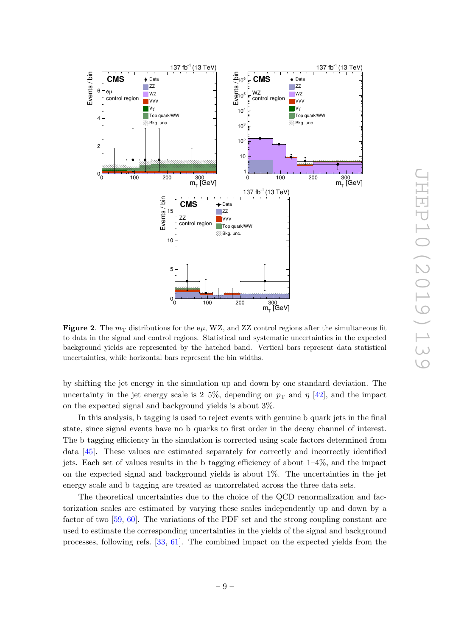

<span id="page-9-0"></span>**Figure 2.** The  $m<sub>T</sub>$  distributions for the e $\mu$ , WZ, and ZZ control regions after the simultaneous fit to data in the signal and control regions. Statistical and systematic uncertainties in the expected background yields are represented by the hatched band. Vertical bars represent data statistical uncertainties, while horizontal bars represent the bin widths.

by shifting the jet energy in the simulation up and down by one standard deviation. The uncertainty in the jet energy scale is 2–5%, depending on  $p_T$  and  $\eta$  [\[42\]](#page-15-11), and the impact on the expected signal and background yields is about 3%.

In this analysis, b tagging is used to reject events with genuine b quark jets in the final state, since signal events have no b quarks to first order in the decay channel of interest. The b tagging efficiency in the simulation is corrected using scale factors determined from data [\[45\]](#page-15-14). These values are estimated separately for correctly and incorrectly identified jets. Each set of values results in the b tagging efficiency of about 1–4%, and the impact on the expected signal and background yields is about 1%. The uncertainties in the jet energy scale and b tagging are treated as uncorrelated across the three data sets.

The theoretical uncertainties due to the choice of the QCD renormalization and factorization scales are estimated by varying these scales independently up and down by a factor of two [\[59,](#page-16-8) [60\]](#page-16-9). The variations of the PDF set and the strong coupling constant are used to estimate the corresponding uncertainties in the yields of the signal and background processes, following refs. [\[33,](#page-15-2) [61\]](#page-16-10). The combined impact on the expected yields from the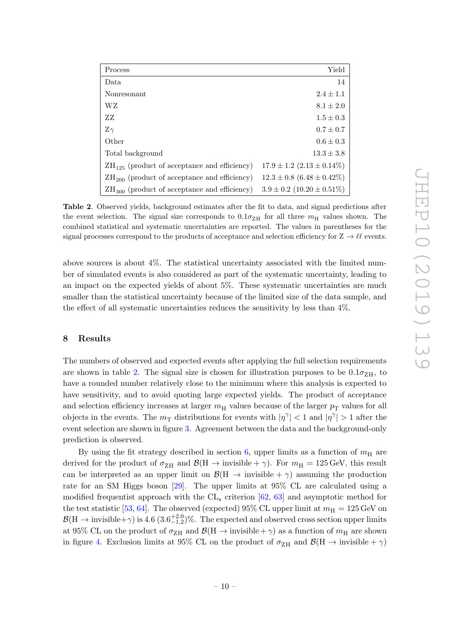| Process                                                  | Yield                              |
|----------------------------------------------------------|------------------------------------|
| Data                                                     | 14                                 |
| Nonresonant                                              | $2.4 \pm 1.1$                      |
| WΖ                                                       | $8.1 \pm 2.0$                      |
| ZZ                                                       | $1.5 \pm 0.3$                      |
| $Z\gamma$                                                | $0.7 \pm 0.7$                      |
| Other                                                    | $0.6 \pm 0.3$                      |
| Total background                                         | $13.3 \pm 3.8$                     |
| $ZH_{125}$ (product of acceptance and efficiency)        | $17.9 \pm 1.2$ $(2.13 \pm 0.14\%)$ |
| $\text{ZH}_{200}$ (product of acceptance and efficiency) | $12.3 \pm 0.8$ $(6.48 \pm 0.42\%)$ |
| $ZH_{300}$ (product of acceptance and efficiency)        | $3.9 \pm 0.2$ (10.20 $\pm$ 0.51%)  |

<span id="page-10-1"></span>Table 2. Observed yields, background estimates after the fit to data, and signal predictions after the event selection. The signal size corresponds to  $0.1\sigma_{ZH}$  for all three  $m_H$  values shown. The combined statistical and systematic uncertainties are reported. The values in parentheses for the signal processes correspond to the products of acceptance and selection efficiency for  $Z \to \ell \ell$  events.

above sources is about 4%. The statistical uncertainty associated with the limited number of simulated events is also considered as part of the systematic uncertainty, leading to an impact on the expected yields of about 5%. These systematic uncertainties are much smaller than the statistical uncertainty because of the limited size of the data sample, and the effect of all systematic uncertainties reduces the sensitivity by less than 4%.

### <span id="page-10-0"></span>8 Results

The numbers of observed and expected events after applying the full selection requirements are shown in table [2.](#page-10-1) The signal size is chosen for illustration purposes to be  $0.1\sigma_{\rm ZH}$ , to have a rounded number relatively close to the minimum where this analysis is expected to have sensitivity, and to avoid quoting large expected yields. The product of acceptance and selection efficiency increases at larger  $m<sub>H</sub>$  values because of the larger  $p<sub>T</sub>$  values for all objects in the events. The  $m<sub>T</sub>$  distributions for events with  $|\eta^{\gamma}| < 1$  and  $|\eta^{\gamma}| > 1$  after the event selection are shown in figure [3.](#page-11-1) Agreement between the data and the background-only prediction is observed.

By using the fit strategy described in section [6,](#page-7-1) upper limits as a function of  $m<sub>H</sub>$  are derived for the product of  $\sigma_{ZH}$  and  $\mathcal{B}(H \to \text{invisible} + \gamma)$ . For  $m_H = 125 \,\text{GeV}$ , this result can be interpreted as an upper limit on  $\mathcal{B}(H \to \text{invisible} + \gamma)$  assuming the production rate for an SM Higgs boson [\[29\]](#page-14-14). The upper limits at 95% CL are calculated using a modified frequentist approach with the  $CL_s$  criterion [\[62,](#page-16-11) [63\]](#page-16-12) and asymptotic method for the test statistic [\[53,](#page-16-3) [64\]](#page-16-13). The observed (expected) 95% CL upper limit at  $m<sub>H</sub> = 125$  GeV on  $\mathcal{B}(H \to \text{invisible} + \gamma)$  is 4.6  $(3.6^{+2.0}_{-1.2})\%$ . The expected and observed cross section upper limits at 95% CL on the product of  $\sigma_{ZH}$  and  $\mathcal{B}(H \to \text{invisible} + \gamma)$  as a function of  $m_H$  are shown in figure [4.](#page-11-2) Exclusion limits at 95% CL on the product of  $\sigma_{ZH}$  and  $\mathcal{B}(H \to \text{invisible} + \gamma)$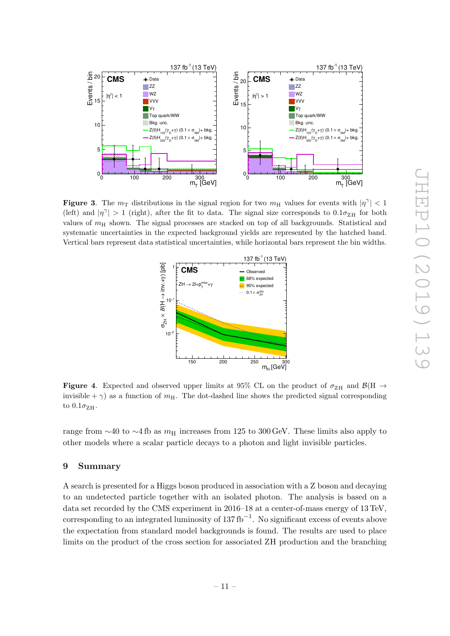

<span id="page-11-1"></span>Figure 3. The  $m<sub>T</sub>$  distributions in the signal region for two  $m<sub>H</sub>$  values for events with  $|\eta^{\gamma}| < 1$ (left) and  $|\eta^{\gamma}| > 1$  (right), after the fit to data. The signal size corresponds to  $0.1\sigma_{ZH}$  for both values of  $m<sub>H</sub>$  shown. The signal processes are stacked on top of all backgrounds. Statistical and systematic uncertainties in the expected background yields are represented by the hatched band. Vertical bars represent data statistical uncertainties, while horizontal bars represent the bin widths.



<span id="page-11-2"></span>**Figure 4.** Expected and observed upper limits at 95% CL on the product of  $\sigma_{\text{ZH}}$  and  $\mathcal{B}(H \rightarrow$ invisible  $+\gamma$ ) as a function of  $m_{\rm H}$ . The dot-dashed line shows the predicted signal corresponding to  $0.1\sigma_{\rm ZH}$ .

range from  $\sim$ 40 to  $\sim$ 4 fb as  $m_H$  increases from 125 to 300 GeV. These limits also apply to other models where a scalar particle decays to a photon and light invisible particles.

### <span id="page-11-0"></span>9 Summary

A search is presented for a Higgs boson produced in association with a Z boson and decaying to an undetected particle together with an isolated photon. The analysis is based on a data set recorded by the CMS experiment in 2016–18 at a center-of-mass energy of 13 TeV, corresponding to an integrated luminosity of  $137 \text{ fb}^{-1}$ . No significant excess of events above the expectation from standard model backgrounds is found. The results are used to place limits on the product of the cross section for associated ZH production and the branching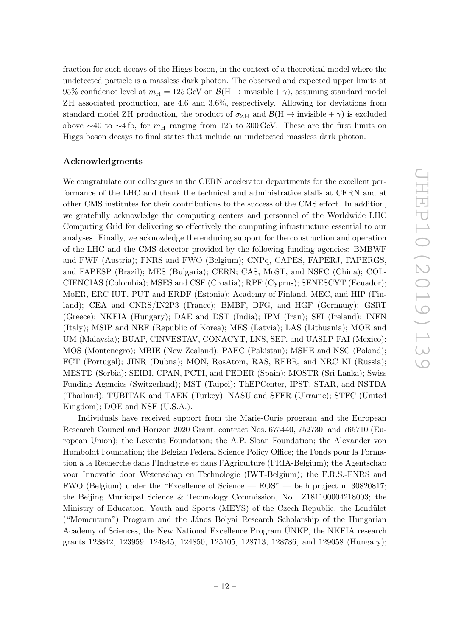fraction for such decays of the Higgs boson, in the context of a theoretical model where the undetected particle is a massless dark photon. The observed and expected upper limits at 95% confidence level at  $m_{\rm H} = 125 \,\text{GeV}$  on  $\mathcal{B}(\text{H} \to \text{invisible} + \gamma)$ , assuming standard model ZH associated production, are 4.6 and 3.6%, respectively. Allowing for deviations from standard model ZH production, the product of  $\sigma_{ZH}$  and  $\mathcal{B}(H \to \text{invisible} + \gamma)$  is excluded above ∼40 to ∼4 fb, for  $m_H$  ranging from 125 to 300 GeV. These are the first limits on Higgs boson decays to final states that include an undetected massless dark photon.

#### Acknowledgments

We congratulate our colleagues in the CERN accelerator departments for the excellent performance of the LHC and thank the technical and administrative staffs at CERN and at other CMS institutes for their contributions to the success of the CMS effort. In addition, we gratefully acknowledge the computing centers and personnel of the Worldwide LHC Computing Grid for delivering so effectively the computing infrastructure essential to our analyses. Finally, we acknowledge the enduring support for the construction and operation of the LHC and the CMS detector provided by the following funding agencies: BMBWF and FWF (Austria); FNRS and FWO (Belgium); CNPq, CAPES, FAPERJ, FAPERGS, and FAPESP (Brazil); MES (Bulgaria); CERN; CAS, MoST, and NSFC (China); COL-CIENCIAS (Colombia); MSES and CSF (Croatia); RPF (Cyprus); SENESCYT (Ecuador); MoER, ERC IUT, PUT and ERDF (Estonia); Academy of Finland, MEC, and HIP (Finland); CEA and CNRS/IN2P3 (France); BMBF, DFG, and HGF (Germany); GSRT (Greece); NKFIA (Hungary); DAE and DST (India); IPM (Iran); SFI (Ireland); INFN (Italy); MSIP and NRF (Republic of Korea); MES (Latvia); LAS (Lithuania); MOE and UM (Malaysia); BUAP, CINVESTAV, CONACYT, LNS, SEP, and UASLP-FAI (Mexico); MOS (Montenegro); MBIE (New Zealand); PAEC (Pakistan); MSHE and NSC (Poland); FCT (Portugal); JINR (Dubna); MON, RosAtom, RAS, RFBR, and NRC KI (Russia); MESTD (Serbia); SEIDI, CPAN, PCTI, and FEDER (Spain); MOSTR (Sri Lanka); Swiss Funding Agencies (Switzerland); MST (Taipei); ThEPCenter, IPST, STAR, and NSTDA (Thailand); TUBITAK and TAEK (Turkey); NASU and SFFR (Ukraine); STFC (United Kingdom); DOE and NSF (U.S.A.).

Individuals have received support from the Marie-Curie program and the European Research Council and Horizon 2020 Grant, contract Nos. 675440, 752730, and 765710 (European Union); the Leventis Foundation; the A.P. Sloan Foundation; the Alexander von Humboldt Foundation; the Belgian Federal Science Policy Office; the Fonds pour la Formation `a la Recherche dans l'Industrie et dans l'Agriculture (FRIA-Belgium); the Agentschap voor Innovatie door Wetenschap en Technologie (IWT-Belgium); the F.R.S.-FNRS and FWO (Belgium) under the "Excellence of Science — EOS" — be.h project n. 30820817; the Beijing Municipal Science & Technology Commission, No. Z181100004218003; the Ministry of Education, Youth and Sports (MEYS) of the Czech Republic; the Lendület ("Momentum") Program and the J´anos Bolyai Research Scholarship of the Hungarian Academy of Sciences, the New National Excellence Program UNKP, the NKFIA research ´ grants 123842, 123959, 124845, 124850, 125105, 128713, 128786, and 129058 (Hungary);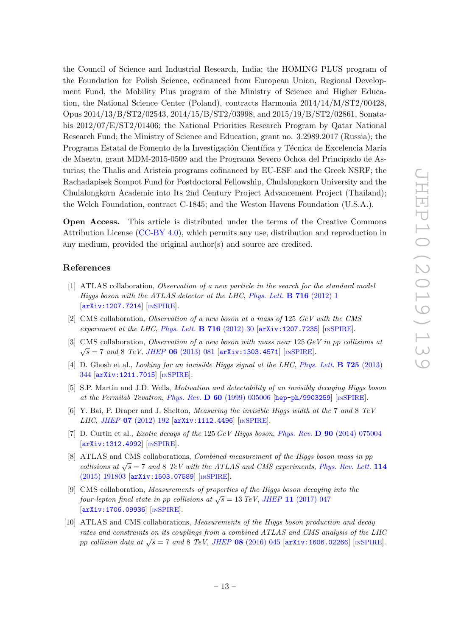the Council of Science and Industrial Research, India; the HOMING PLUS program of the Foundation for Polish Science, cofinanced from European Union, Regional Development Fund, the Mobility Plus program of the Ministry of Science and Higher Education, the National Science Center (Poland), contracts Harmonia 2014/14/M/ST2/00428, Opus 2014/13/B/ST2/02543, 2014/15/B/ST2/03998, and 2015/19/B/ST2/02861, Sonatabis 2012/07/E/ST2/01406; the National Priorities Research Program by Qatar National Research Fund; the Ministry of Science and Education, grant no. 3.2989.2017 (Russia); the Programa Estatal de Fomento de la Investigación Científica y Técnica de Excelencia María de Maeztu, grant MDM-2015-0509 and the Programa Severo Ochoa del Principado de Asturias; the Thalis and Aristeia programs cofinanced by EU-ESF and the Greek NSRF; the Rachadapisek Sompot Fund for Postdoctoral Fellowship, Chulalongkorn University and the Chulalongkorn Academic into Its 2nd Century Project Advancement Project (Thailand); the Welch Foundation, contract C-1845; and the Weston Havens Foundation (U.S.A.).

Open Access. This article is distributed under the terms of the Creative Commons Attribution License [\(CC-BY 4.0\)](https://creativecommons.org/licenses/by/4.0/), which permits any use, distribution and reproduction in any medium, provided the original author(s) and source are credited.

## References

- <span id="page-13-0"></span>[1] ATLAS collaboration, Observation of a new particle in the search for the standard model Higgs boson with the ATLAS detector at the LHC, [Phys. Lett.](https://doi.org/10.1016/j.physletb.2012.08.020) **B** 716 (2012) 1 [[arXiv:1207.7214](https://arxiv.org/abs/1207.7214)] [IN[SPIRE](https://inspirehep.net/search?p=find+EPRINT+arXiv:1207.7214)].
- [2] CMS collaboration, Observation of a new boson at a mass of 125 GeV with the CMS experiment at the LHC, [Phys. Lett.](https://doi.org/10.1016/j.physletb.2012.08.021) **B** 716 (2012) 30  $\left[\text{arXiv:1207.7235}\right]$  $\left[\text{arXiv:1207.7235}\right]$  $\left[\text{arXiv:1207.7235}\right]$   $\left[\text{nsPIRE}\right]$ .
- <span id="page-13-1"></span>[3] CMS collaboration, Observation of a new boson with mass near  $125 \ GeV$  in pp collisions at  $\sqrt{s}$  = 7 and 8 TeV, JHEP 06 [\(2013\) 081](https://doi.org/10.1007/JHEP06(2013)081) [[arXiv:1303.4571](https://arxiv.org/abs/1303.4571)] [IN[SPIRE](https://inspirehep.net/search?p=find+EPRINT+arXiv:1303.4571)].
- <span id="page-13-2"></span>[4] D. Ghosh et al., *Looking for an invisible Higgs signal at the LHC, [Phys. Lett.](https://doi.org/10.1016/j.physletb.2013.07.042)* **B 725** (2013) [344](https://doi.org/10.1016/j.physletb.2013.07.042) [[arXiv:1211.7015](https://arxiv.org/abs/1211.7015)] [IN[SPIRE](https://inspirehep.net/search?p=find+EPRINT+arXiv:1211.7015)].
- [5] S.P. Martin and J.D. Wells, Motivation and detectability of an invisibly decaying Higgs boson at the Fermilab Tevatron, Phys. Rev.  $\bf{D} 60$  [\(1999\) 035006](https://doi.org/10.1103/PhysRevD.60.035006) [[hep-ph/9903259](https://arxiv.org/abs/hep-ph/9903259)] [IN[SPIRE](https://inspirehep.net/search?p=find+EPRINT+hep-ph/9903259)].
- [6] Y. Bai, P. Draper and J. Shelton, Measuring the invisible Higgs width at the 7 and 8 TeV LHC, JHEP 07 [\(2012\) 192](https://doi.org/10.1007/JHEP07(2012)192) [[arXiv:1112.4496](https://arxiv.org/abs/1112.4496)] [IN[SPIRE](https://inspirehep.net/search?p=find+EPRINT+arXiv:1112.4496)].
- <span id="page-13-3"></span>[7] D. Curtin et al., *Exotic decays of the*  $125 \text{ GeV}$  *Higgs boson, Phys. Rev.* **D** 90 [\(2014\) 075004](https://doi.org/10.1103/PhysRevD.90.075004) [[arXiv:1312.4992](https://arxiv.org/abs/1312.4992)] [IN[SPIRE](https://inspirehep.net/search?p=find+EPRINT+arXiv:1312.4992)].
- <span id="page-13-4"></span>[8] ATLAS and CMS collaborations, Combined measurement of the Higgs boson mass in pp collisions at  $\sqrt{s}$  = 7 and 8 TeV with the ATLAS and CMS experiments, [Phys. Rev. Lett.](https://doi.org/10.1103/PhysRevLett.114.191803) 114 [\(2015\) 191803](https://doi.org/10.1103/PhysRevLett.114.191803) [[arXiv:1503.07589](https://arxiv.org/abs/1503.07589)] [IN[SPIRE](https://inspirehep.net/search?p=find+EPRINT+arXiv:1503.07589)].
- <span id="page-13-5"></span>[9] CMS collaboration, Measurements of properties of the Higgs boson decaying into the four-lepton final state in pp collisions at  $\sqrt{s} = 13 \text{ TeV}$ , JHEP 11 [\(2017\) 047](https://doi.org/10.1007/JHEP11(2017)047) [[arXiv:1706.09936](https://arxiv.org/abs/1706.09936)] [IN[SPIRE](https://inspirehep.net/search?p=find+EPRINT+arXiv:1706.09936)].
- <span id="page-13-6"></span>[10] ATLAS and CMS collaborations, Measurements of the Higgs boson production and decay rates and constraints on its couplings from a combined ATLAS and CMS analysis of the LHC pp collision data at  $\sqrt{s} = 7$  and 8 TeV, JHEP 08 [\(2016\) 045](https://doi.org/10.1007/JHEP08(2016)045) [[arXiv:1606.02266](https://arxiv.org/abs/1606.02266)] [IN[SPIRE](https://inspirehep.net/search?p=find+EPRINT+arXiv:1606.02266)].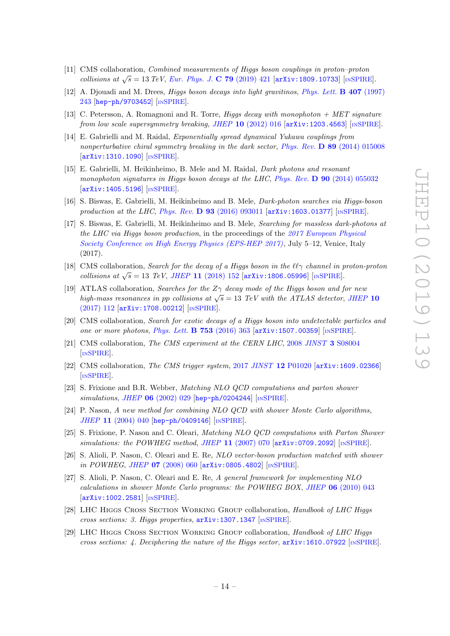- <span id="page-14-0"></span>[11] CMS collaboration, Combined measurements of Higgs boson couplings in proton–proton collisions at  $\sqrt{s} = 13 \text{ TeV}$ , [Eur. Phys. J.](https://doi.org/10.1140/epjc/s10052-019-6909-y) C 79 (2019) 421 [[arXiv:1809.10733](https://arxiv.org/abs/1809.10733)] [IN[SPIRE](https://inspirehep.net/search?p=find+EPRINT+arXiv:1809.10733)].
- <span id="page-14-1"></span>[12] A. Djouadi and M. Drees, Higgs boson decays into light gravitinos, [Phys. Lett.](https://doi.org/10.1016/S0370-2693(97)00670-9) B 407 (1997) [243](https://doi.org/10.1016/S0370-2693(97)00670-9) [[hep-ph/9703452](https://arxiv.org/abs/hep-ph/9703452)] [IN[SPIRE](https://inspirehep.net/search?p=find+EPRINT+hep-ph/9703452)].
- <span id="page-14-2"></span>[13] C. Petersson, A. Romagnoni and R. Torre, *Higgs decay with monophoton + MET signature* from low scale supersymmetry breaking, JHEP 10  $(2012)$  016  $\text{arXiv:1203.4563}$  $\text{arXiv:1203.4563}$  $\text{arXiv:1203.4563}$  [IN[SPIRE](https://inspirehep.net/search?p=find+EPRINT+arXiv:1203.4563)].
- <span id="page-14-3"></span>[14] E. Gabrielli and M. Raidal, Exponentially spread dynamical Yukawa couplings from nonperturbative chiral symmetry breaking in the dark sector, Phys. Rev. **D 89** [\(2014\) 015008](https://doi.org/10.1103/PhysRevD.89.015008) [[arXiv:1310.1090](https://arxiv.org/abs/1310.1090)] [IN[SPIRE](https://inspirehep.net/search?p=find+EPRINT+arXiv:1310.1090)].
- <span id="page-14-5"></span>[15] E. Gabrielli, M. Heikinheimo, B. Mele and M. Raidal, Dark photons and resonant monophoton signatures in Higgs boson decays at the LHC, Phys. Rev.  $\bf{D}$  90 [\(2014\) 055032](https://doi.org/10.1103/PhysRevD.90.055032) [[arXiv:1405.5196](https://arxiv.org/abs/1405.5196)] [IN[SPIRE](https://inspirehep.net/search?p=find+EPRINT+arXiv:1405.5196)].
- [16] S. Biswas, E. Gabrielli, M. Heikinheimo and B. Mele, Dark-photon searches via Higgs-boson production at the LHC, Phys. Rev. D  $93$  [\(2016\) 093011](https://doi.org/10.1103/PhysRevD.93.093011) [[arXiv:1603.01377](https://arxiv.org/abs/1603.01377)] [IN[SPIRE](https://inspirehep.net/search?p=find+EPRINT+arXiv:1603.01377)].
- <span id="page-14-4"></span>[17] S. Biswas, E. Gabrielli, M. Heikinheimo and B. Mele, Searching for massless dark-photons at the LHC via Higgs boson production, in the proceedings of the [2017 European Physical](http://dx.doi.org/10.22323/1.314.0315) [Society Conference on High Energy Physics \(EPS-HEP 2017\)](http://dx.doi.org/10.22323/1.314.0315), July 5–12, Venice, Italy (2017).
- <span id="page-14-6"></span>[18] CMS collaboration, Search for the decay of a Higgs boson in the  $\ell \ell \gamma$  channel in proton-proton collisions at  $\sqrt{s} = 13$  TeV, JHEP 11 [\(2018\) 152](https://doi.org/10.1007/JHEP11(2018)152) [[arXiv:1806.05996](https://arxiv.org/abs/1806.05996)] [IN[SPIRE](https://inspirehep.net/search?p=find+EPRINT+arXiv:1806.05996)].
- <span id="page-14-7"></span>[19] ATLAS collaboration, Searches for the  $Z\gamma$  decay mode of the Higgs boson and for new high-mass resonances in pp collisions at  $\sqrt{s} = 13$  TeV with the ATLAS detector, [JHEP](https://doi.org/10.1007/JHEP10(2017)112) 10 [\(2017\) 112](https://doi.org/10.1007/JHEP10(2017)112) [[arXiv:1708.00212](https://arxiv.org/abs/1708.00212)] [IN[SPIRE](https://inspirehep.net/search?p=find+EPRINT+arXiv:1708.00212)].
- <span id="page-14-8"></span>[20] CMS collaboration, Search for exotic decays of a Higgs boson into undetectable particles and one or more photons, [Phys. Lett.](https://doi.org/10.1016/j.physletb.2015.12.017) **B** 753 (2016) 363  $arXiv:1507.00359$  [IN[SPIRE](https://inspirehep.net/search?p=find+EPRINT+arXiv:1507.00359)].
- <span id="page-14-9"></span>[21] CMS collaboration, The CMS experiment at the CERN LHC, 2008 JINST 3 [S08004](https://doi.org/10.1088/1748-0221/3/08/S08004) [IN[SPIRE](https://inspirehep.net/search?p=find+J+%22JINST,3,S08004%22)].
- <span id="page-14-10"></span>[22] CMS collaboration, The CMS trigger system, 2017 JINST 12 [P01020](https://doi.org/10.1088/1748-0221/12/01/P01020) [[arXiv:1609.02366](https://arxiv.org/abs/1609.02366)] [IN[SPIRE](https://inspirehep.net/search?p=find+EPRINT+arXiv:1609.02366)].
- <span id="page-14-11"></span>[23] S. Frixione and B.R. Webber, Matching NLO QCD computations and parton shower simulations, JHEP 06 [\(2002\) 029](https://doi.org/10.1088/1126-6708/2002/06/029) [[hep-ph/0204244](https://arxiv.org/abs/hep-ph/0204244)] [IN[SPIRE](https://inspirehep.net/search?p=find+EPRINT+hep-ph/0204244)].
- [24] P. Nason, A new method for combining NLO QCD with shower Monte Carlo algorithms, JHEP 11 [\(2004\) 040](https://doi.org/10.1088/1126-6708/2004/11/040) [[hep-ph/0409146](https://arxiv.org/abs/hep-ph/0409146)] [IN[SPIRE](https://inspirehep.net/search?p=find+EPRINT+hep-ph/0409146)].
- [25] S. Frixione, P. Nason and C. Oleari, Matching NLO QCD computations with Parton Shower simulations: the POWHEG method, JHEP 11 [\(2007\) 070](https://doi.org/10.1088/1126-6708/2007/11/070)  $\left[$  [arXiv:0709.2092](https://arxiv.org/abs/0709.2092) $\right]$   $\left[$  IN[SPIRE](https://inspirehep.net/search?p=find+EPRINT+arXiv:0709.2092) $\right]$ .
- [26] S. Alioli, P. Nason, C. Oleari and E. Re, NLO vector-boson production matched with shower in POWHEG, JHEP 07 [\(2008\) 060](https://doi.org/10.1088/1126-6708/2008/07/060) [[arXiv:0805.4802](https://arxiv.org/abs/0805.4802)] [IN[SPIRE](https://inspirehep.net/search?p=find+EPRINT+arXiv:0805.4802)].
- <span id="page-14-12"></span>[27] S. Alioli, P. Nason, C. Oleari and E. Re, A general framework for implementing NLO calculations in shower Monte Carlo programs: the POWHEG BOX, JHEP 06 [\(2010\) 043](https://doi.org/10.1007/JHEP06(2010)043) [[arXiv:1002.2581](https://arxiv.org/abs/1002.2581)] [IN[SPIRE](https://inspirehep.net/search?p=find+EPRINT+arXiv:1002.2581)].
- <span id="page-14-13"></span>[28] LHC HIGGS CROSS SECTION WORKING GROUP collaboration, Handbook of LHC Higgs cross sections: 3. Higgs properties, [arXiv:1307.1347](https://arxiv.org/abs/1307.1347) [IN[SPIRE](https://inspirehep.net/search?p=find+EPRINT+arXiv:1307.1347)].
- <span id="page-14-14"></span>[29] LHC HIGGS CROSS SECTION WORKING GROUP collaboration, Handbook of LHC Higgs cross sections:  $\lambda$ . Deciphering the nature of the Higgs sector,  $arXiv:1610.07922$  [IN[SPIRE](https://inspirehep.net/search?p=find+EPRINT+arXiv:1610.07922)].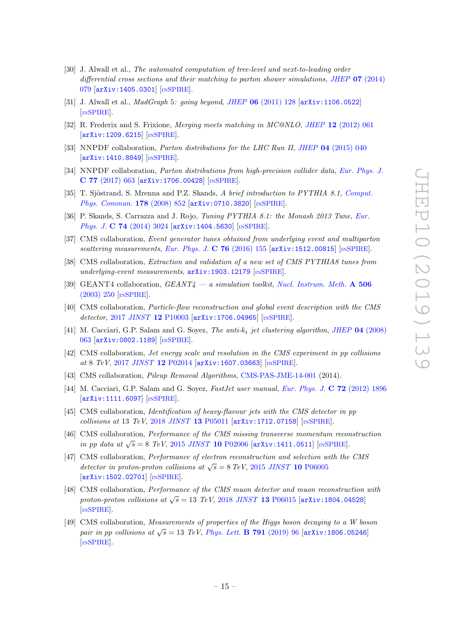- <span id="page-15-0"></span>[30] J. Alwall et al., The automated computation of tree-level and next-to-leading order differential cross sections and their matching to parton shower simulations, JHEP 07 [\(2014\)](https://doi.org/10.1007/JHEP07(2014)079) [079](https://doi.org/10.1007/JHEP07(2014)079) [[arXiv:1405.0301](https://arxiv.org/abs/1405.0301)] [IN[SPIRE](https://inspirehep.net/search?p=find+EPRINT+arXiv:1405.0301)].
- [31] J. Alwall et al., MadGraph 5: going beyond, JHEP 06 [\(2011\) 128](https://doi.org/10.1007/JHEP06(2011)128) [[arXiv:1106.0522](https://arxiv.org/abs/1106.0522)] [IN[SPIRE](https://inspirehep.net/search?p=find+EPRINT+arXiv:1106.0522)].
- <span id="page-15-1"></span>[32] R. Frederix and S. Frixione, Merging meets matching in MC@NLO, JHEP 12 [\(2012\) 061](https://doi.org/10.1007/JHEP12(2012)061) [[arXiv:1209.6215](https://arxiv.org/abs/1209.6215)] [IN[SPIRE](https://inspirehep.net/search?p=find+EPRINT+arXiv:1209.6215)].
- <span id="page-15-2"></span>[33] NNPDF collaboration, *Parton distributions for the LHC Run II, JHEP* 04 [\(2015\) 040](https://doi.org/10.1007/JHEP04(2015)040) [[arXiv:1410.8849](https://arxiv.org/abs/1410.8849)] [IN[SPIRE](https://inspirehep.net/search?p=find+EPRINT+arXiv:1410.8849)].
- <span id="page-15-3"></span>[34] NNPDF collaboration, *Parton distributions from high-precision collider data, [Eur. Phys. J.](https://doi.org/10.1140/epjc/s10052-017-5199-5)* C 77 [\(2017\) 663](https://doi.org/10.1140/epjc/s10052-017-5199-5) [[arXiv:1706.00428](https://arxiv.org/abs/1706.00428)] [IN[SPIRE](https://inspirehep.net/search?p=find+EPRINT+arXiv:1706.00428)].
- <span id="page-15-4"></span>[35] T. Sjöstrand, S. Mrenna and P.Z. Skands, A brief introduction to PYTHIA 8.1, [Comput.](https://doi.org/10.1016/j.cpc.2008.01.036) [Phys. Commun.](https://doi.org/10.1016/j.cpc.2008.01.036) 178 (2008) 852 [[arXiv:0710.3820](https://arxiv.org/abs/0710.3820)] [IN[SPIRE](https://inspirehep.net/search?p=find+EPRINT+arXiv:0710.3820)].
- <span id="page-15-5"></span>[36] P. Skands, S. Carrazza and J. Rojo, Tuning PYTHIA 8.1: the Monash 2013 Tune, [Eur.](https://doi.org/10.1140/epjc/s10052-014-3024-y) Phys. J. C 74 [\(2014\) 3024](https://doi.org/10.1140/epjc/s10052-014-3024-y) [[arXiv:1404.5630](https://arxiv.org/abs/1404.5630)] [IN[SPIRE](https://inspirehep.net/search?p=find+EPRINT+arXiv:1404.5630)].
- <span id="page-15-6"></span>[37] CMS collaboration, Event generator tunes obtained from underlying event and multiparton scattering measurements, [Eur. Phys. J.](https://doi.org/10.1140/epjc/s10052-016-3988-x) C  $76$  (2016) 155 [[arXiv:1512.00815](https://arxiv.org/abs/1512.00815)] [IN[SPIRE](https://inspirehep.net/search?p=find+EPRINT+arXiv:1512.00815)].
- <span id="page-15-7"></span>[38] CMS collaboration, *Extraction and validation of a new set of CMS PYTHIA8 tunes from* underlying-event measurements,  $arXiv:1903.12179$  [IN[SPIRE](https://inspirehep.net/search?p=find+EPRINT+arXiv:1903.12179)].
- <span id="page-15-8"></span>[39] GEANT4 collaboration,  $GEANT4 - a$  simulation toolkit, [Nucl. Instrum. Meth.](https://doi.org/10.1016/S0168-9002(03)01368-8) A 506 [\(2003\) 250](https://doi.org/10.1016/S0168-9002(03)01368-8) [IN[SPIRE](https://inspirehep.net/search?p=find+J+%22Nucl.Instrum.Meth.,A506,250%22)].
- <span id="page-15-9"></span>[40] CMS collaboration, Particle-flow reconstruction and global event description with the CMS detector, 2017 JINST 12 [P10003](https://doi.org/10.1088/1748-0221/12/10/P10003) [[arXiv:1706.04965](https://arxiv.org/abs/1706.04965)] [IN[SPIRE](https://inspirehep.net/search?p=find+EPRINT+arXiv:1706.04965)].
- <span id="page-15-10"></span>[41] M. Cacciari, G.P. Salam and G. Soyez, The anti- $k_t$  jet clustering algorithm, JHEP 04 [\(2008\)](https://doi.org/10.1088/1126-6708/2008/04/063) [063](https://doi.org/10.1088/1126-6708/2008/04/063) [[arXiv:0802.1189](https://arxiv.org/abs/0802.1189)] [IN[SPIRE](https://inspirehep.net/search?p=find+EPRINT+arXiv:0802.1189)].
- <span id="page-15-11"></span>[42] CMS collaboration, Jet energy scale and resolution in the CMS experiment in pp collisions at 8 TeV, 2017 JINST 12 [P02014](https://doi.org/10.1088/1748-0221/12/02/P02014) [[arXiv:1607.03663](https://arxiv.org/abs/1607.03663)] [IN[SPIRE](https://inspirehep.net/search?p=find+EPRINT+arXiv:1607.03663)].
- <span id="page-15-12"></span>[43] CMS collaboration, Pileup Removal Algorithms, [CMS-PAS-JME-14-001](http://cds.cern.ch/record/1751454) (2014).
- <span id="page-15-13"></span>[44] M. Cacciari, G.P. Salam and G. Soyez, FastJet user manual, [Eur. Phys. J.](https://doi.org/10.1140/epjc/s10052-012-1896-2) C 72 (2012) 1896 [[arXiv:1111.6097](https://arxiv.org/abs/1111.6097)] [IN[SPIRE](https://inspirehep.net/search?p=find+EPRINT+arXiv:1111.6097)].
- <span id="page-15-14"></span>[45] CMS collaboration, Identification of heavy-flavour jets with the CMS detector in pp collisions at 13 TeV, 2018 JINST 13 [P05011](https://doi.org/10.1088/1748-0221/13/05/P05011)  $\left[$ [arXiv:1712.07158](https://arxiv.org/abs/1712.07158) $\right]$  [IN[SPIRE](https://inspirehep.net/search?p=find+EPRINT+arXiv:1712.07158)].
- <span id="page-15-15"></span>[46] CMS collaboration, Performance of the CMS missing transverse momentum reconstruction  $\frac{1}{2}$  in pp data at  $\sqrt{s} = 8$  TeV, 2015 JINST 10 [P02006](https://doi.org/10.1088/1748-0221/10/02/P02006) [[arXiv:1411.0511](https://arxiv.org/abs/1411.0511)] [IN[SPIRE](https://inspirehep.net/search?p=find+EPRINT+arXiv:1411.0511)].
- <span id="page-15-16"></span>[47] CMS collaboration, Performance of electron reconstruction and selection with the CMS detector in proton-proton collisions at  $\sqrt{s} = 8 \text{ TeV}$ , 2015 JINST 10 [P06005](https://doi.org/10.1088/1748-0221/10/06/P06005) [[arXiv:1502.02701](https://arxiv.org/abs/1502.02701)] [IN[SPIRE](https://inspirehep.net/search?p=find+EPRINT+arXiv:1502.02701)].
- <span id="page-15-17"></span>[48] CMS collaboration, Performance of the CMS muon detector and muon reconstruction with proton-proton collisions at  $\sqrt{s} = 13$  TeV, 2018 JINST 13 [P06015](https://doi.org/10.1088/1748-0221/13/06/P06015) [[arXiv:1804.04528](https://arxiv.org/abs/1804.04528)] [IN[SPIRE](https://inspirehep.net/search?p=find+EPRINT+arXiv:1804.04528)].
- <span id="page-15-18"></span>[49] CMS collaboration, Measurements of properties of the Higgs boson decaying to a W boson pair in pp collisions at  $\sqrt{s} = 13$  TeV, [Phys. Lett.](https://doi.org/10.1016/j.physletb.2018.12.073) **B** 791 (2019) 96 [[arXiv:1806.05246](https://arxiv.org/abs/1806.05246)] [IN[SPIRE](https://inspirehep.net/search?p=find+EPRINT+arXiv:1806.05246)].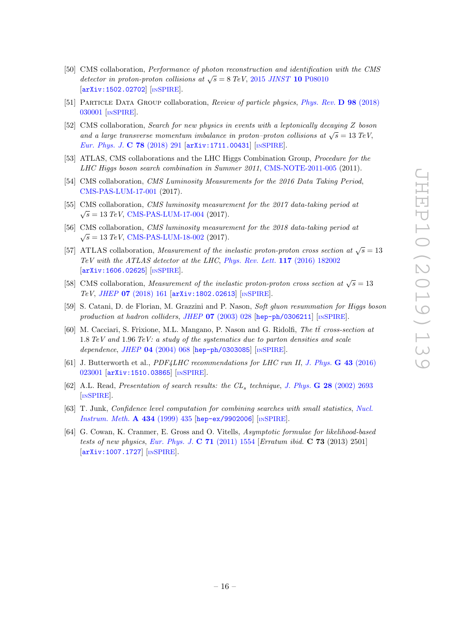- <span id="page-16-0"></span>[50] CMS collaboration, Performance of photon reconstruction and identification with the CMS  $\alpha$  detector in proton-proton collisions at  $\sqrt{s} = 8 \text{ TeV}$ , 2015 JINST 10 [P08010](https://doi.org/10.1088/1748-0221/10/08/P08010) [[arXiv:1502.02702](https://arxiv.org/abs/1502.02702)] [IN[SPIRE](https://inspirehep.net/search?p=find+EPRINT+arXiv:1502.02702)].
- <span id="page-16-1"></span>[51] Particle Data Group collaboration, Review of particle physics, [Phys. Rev.](https://doi.org/10.1103/PhysRevD.98.030001) D 98 (2018) [030001](https://doi.org/10.1103/PhysRevD.98.030001) [IN[SPIRE](https://inspirehep.net/search?p=find+J+%22Phys.Rev.,D98,030001%22)].
- <span id="page-16-2"></span>[52] CMS collaboration, Search for new physics in events with a leptonically decaying Z boson and a large transverse momentum imbalance in proton–proton collisions at  $\sqrt{s} = 13 \text{ TeV}$ , [Eur. Phys. J.](https://doi.org/10.1140/epjc/s10052-018-5740-1) C 78 (2018) 291 [[arXiv:1711.00431](https://arxiv.org/abs/1711.00431)] [IN[SPIRE](https://inspirehep.net/search?p=find+EPRINT+arXiv:1711.00431)].
- <span id="page-16-3"></span>[53] ATLAS, CMS collaborations and the LHC Higgs Combination Group, Procedure for the LHC Higgs boson search combination in Summer 2011, [CMS-NOTE-2011-005](http://cds.cern.ch/record/1379837) (2011).
- <span id="page-16-4"></span>[54] CMS collaboration, *CMS Luminosity Measurements for the 2016 Data Taking Period*, [CMS-PAS-LUM-17-001](http://cds.cern.ch/record/2257069) (2017).
- [55] CMS collaboration, CMS luminosity measurement for the 2017 data-taking period at  $\sqrt{s}$  = 13 TeV, [CMS-PAS-LUM-17-004](http://cds.cern.ch/record/2621960) (2017).
- <span id="page-16-5"></span>[56] CMS collaboration, CMS luminosity measurement for the 2018 data-taking period at  $\sqrt{s}$  = 13 TeV, [CMS-PAS-LUM-18-002](http://cds.cern.ch/record/2676164) (2017).
- <span id="page-16-6"></span>[57] ATLAS collaboration, Measurement of the inelastic proton-proton cross section at  $\sqrt{s} = 13$ TeV with the ATLAS detector at the LHC, [Phys. Rev. Lett.](https://doi.org/10.1103/PhysRevLett.117.182002) 117 (2016) 182002 [[arXiv:1606.02625](https://arxiv.org/abs/1606.02625)] [IN[SPIRE](https://inspirehep.net/search?p=find+EPRINT+arXiv:1606.02625)].
- <span id="page-16-7"></span>[58] CMS collaboration, *Measurement of the inelastic proton-proton cross section at*  $\sqrt{s} = 13$ TeV, JHEP 07 [\(2018\) 161](https://doi.org/10.1007/JHEP07(2018)161) [[arXiv:1802.02613](https://arxiv.org/abs/1802.02613)] [IN[SPIRE](https://inspirehep.net/search?p=find+EPRINT+arXiv:1802.02613)].
- <span id="page-16-8"></span>[59] S. Catani, D. de Florian, M. Grazzini and P. Nason, Soft gluon resummation for Higgs boson production at hadron colliders, JHEP 07 [\(2003\) 028](https://doi.org/10.1088/1126-6708/2003/07/028) [[hep-ph/0306211](https://arxiv.org/abs/hep-ph/0306211)] [IN[SPIRE](https://inspirehep.net/search?p=find+EPRINT+hep-ph/0306211)].
- <span id="page-16-9"></span>[60] M. Cacciari, S. Frixione, M.L. Mangano, P. Nason and G. Ridolfi, The  $t\bar{t}$  cross-section at 1.8 TeV and 1.96 TeV: a study of the systematics due to parton densities and scale dependence, JHEP 04 [\(2004\) 068](https://doi.org/10.1088/1126-6708/2004/04/068) [[hep-ph/0303085](https://arxiv.org/abs/hep-ph/0303085)] [IN[SPIRE](https://inspirehep.net/search?p=find+EPRINT+hep-ph/0303085)].
- <span id="page-16-10"></span>[61] J. Butterworth et al., PDF4LHC recommendations for LHC run II, [J. Phys.](https://doi.org/10.1088/0954-3899/43/2/023001) G 43 (2016) [023001](https://doi.org/10.1088/0954-3899/43/2/023001) [[arXiv:1510.03865](https://arxiv.org/abs/1510.03865)] [IN[SPIRE](https://inspirehep.net/search?p=find+EPRINT+arXiv:1510.03865)].
- <span id="page-16-11"></span>[62] A.L. Read, *Presentation of search results: the*  $CL_s$  *technique, J. Phys.* **G 28** [\(2002\) 2693](https://doi.org/10.1088/0954-3899/28/10/313) [IN[SPIRE](https://inspirehep.net/search?p=find+J+%22J.Phys.,G28,2693%22)].
- <span id="page-16-12"></span>[63] T. Junk, Confidence level computation for combining searches with small statistics, [Nucl.](https://doi.org/10.1016/S0168-9002(99)00498-2) [Instrum. Meth.](https://doi.org/10.1016/S0168-9002(99)00498-2) A 434 (1999) 435 [[hep-ex/9902006](https://arxiv.org/abs/hep-ex/9902006)] [IN[SPIRE](https://inspirehep.net/search?p=find+EPRINT+hep-ex/9902006)].
- <span id="page-16-13"></span>[64] G. Cowan, K. Cranmer, E. Gross and O. Vitells, Asymptotic formulae for likelihood-based tests of new physics, [Eur. Phys. J.](https://doi.org/10.1140/epjc/s10052-011-1554-0) C 71 (2011) 1554 [Erratum ibid. C 73 (2013) 2501] [[arXiv:1007.1727](https://arxiv.org/abs/1007.1727)] [IN[SPIRE](https://inspirehep.net/search?p=find+EPRINT+arXiv:1007.1727)].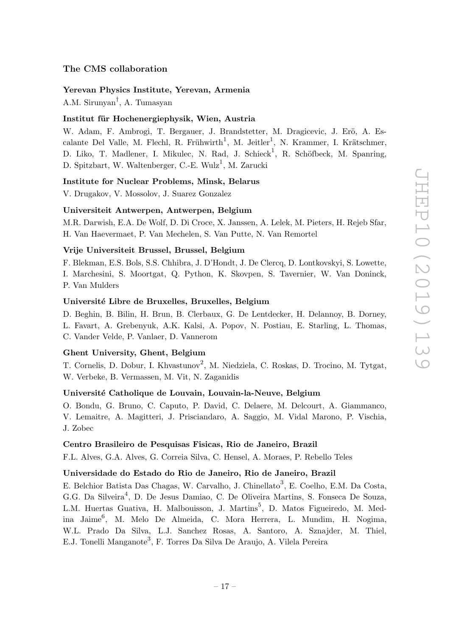## The CMS collaboration

#### <span id="page-17-0"></span>Yerevan Physics Institute, Yerevan, Armenia

A.M. Sirunyan† , A. Tumasyan

### Institut für Hochenergiephysik, Wien, Austria

W. Adam, F. Ambrogi, T. Bergauer, J. Brandstetter, M. Dragicevic, J. Erö, A. Escalante Del Valle, M. Flechl, R. Frühwirth<sup>1</sup>, M. Jeitler<sup>1</sup>, N. Krammer, I. Krätschmer, D. Liko, T. Madlener, I. Mikulec, N. Rad, J. Schieck<sup>1</sup>, R. Schöfbeck, M. Spanring, D. Spitzbart, W. Waltenberger, C.-E. Wulz<sup>1</sup>, M. Zarucki

#### Institute for Nuclear Problems, Minsk, Belarus

V. Drugakov, V. Mossolov, J. Suarez Gonzalez

### Universiteit Antwerpen, Antwerpen, Belgium

M.R. Darwish, E.A. De Wolf, D. Di Croce, X. Janssen, A. Lelek, M. Pieters, H. Rejeb Sfar, H. Van Haevermaet, P. Van Mechelen, S. Van Putte, N. Van Remortel

#### Vrije Universiteit Brussel, Brussel, Belgium

F. Blekman, E.S. Bols, S.S. Chhibra, J. D'Hondt, J. De Clercq, D. Lontkovskyi, S. Lowette, I. Marchesini, S. Moortgat, Q. Python, K. Skovpen, S. Tavernier, W. Van Doninck, P. Van Mulders

#### Universit´e Libre de Bruxelles, Bruxelles, Belgium

D. Beghin, B. Bilin, H. Brun, B. Clerbaux, G. De Lentdecker, H. Delannoy, B. Dorney, L. Favart, A. Grebenyuk, A.K. Kalsi, A. Popov, N. Postiau, E. Starling, L. Thomas, C. Vander Velde, P. Vanlaer, D. Vannerom

## Ghent University, Ghent, Belgium

T. Cornelis, D. Dobur, I. Khvastunov<sup>2</sup>, M. Niedziela, C. Roskas, D. Trocino, M. Tytgat, W. Verbeke, B. Vermassen, M. Vit, N. Zaganidis

### Université Catholique de Louvain, Louvain-la-Neuve, Belgium

O. Bondu, G. Bruno, C. Caputo, P. David, C. Delaere, M. Delcourt, A. Giammanco, V. Lemaitre, A. Magitteri, J. Prisciandaro, A. Saggio, M. Vidal Marono, P. Vischia, J. Zobec

#### Centro Brasileiro de Pesquisas Fisicas, Rio de Janeiro, Brazil

F.L. Alves, G.A. Alves, G. Correia Silva, C. Hensel, A. Moraes, P. Rebello Teles

## Universidade do Estado do Rio de Janeiro, Rio de Janeiro, Brazil

E. Belchior Batista Das Chagas, W. Carvalho, J. Chinellato<sup>3</sup>, E. Coelho, E.M. Da Costa, G.G. Da Silveira<sup>4</sup>, D. De Jesus Damiao, C. De Oliveira Martins, S. Fonseca De Souza, L.M. Huertas Guativa, H. Malbouisson, J. Martins<sup>5</sup>, D. Matos Figueiredo, M. Medina Jaime<sup>6</sup>, M. Melo De Almeida, C. Mora Herrera, L. Mundim, H. Nogima, W.L. Prado Da Silva, L.J. Sanchez Rosas, A. Santoro, A. Sznajder, M. Thiel, E.J. Tonelli Manganote<sup>3</sup>, F. Torres Da Silva De Araujo, A. Vilela Pereira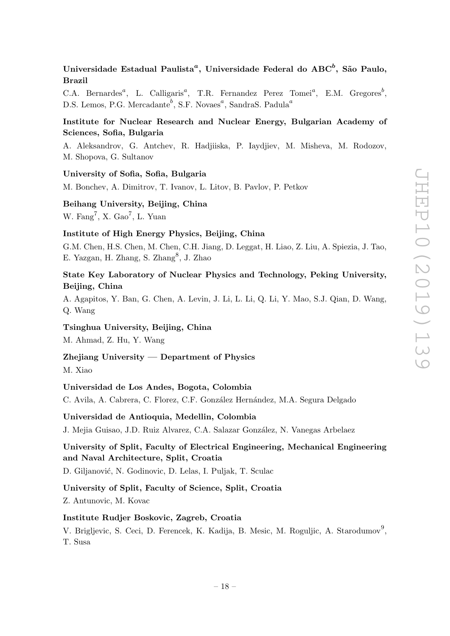## Universidade Estadual Paulista $^a,$  Universidade Federal do ABC $^b,$  São Paulo, Brazil

C.A. Bernardes<sup>a</sup>, L. Calligaris<sup>a</sup>, T.R. Fernandez Perez Tomei<sup>a</sup>, E.M. Gregores<sup>b</sup>, D.S. Lemos, P.G. Mercadante<sup>b</sup>, S.F. Novaes<sup>a</sup>, SandraS. Padula<sup>a</sup>

## Institute for Nuclear Research and Nuclear Energy, Bulgarian Academy of Sciences, Sofia, Bulgaria

A. Aleksandrov, G. Antchev, R. Hadjiiska, P. Iaydjiev, M. Misheva, M. Rodozov, M. Shopova, G. Sultanov

### University of Sofia, Sofia, Bulgaria

M. Bonchev, A. Dimitrov, T. Ivanov, L. Litov, B. Pavlov, P. Petkov

Beihang University, Beijing, China

W.  $Fang<sup>7</sup>$ , X.  $Gao<sup>7</sup>$ , L. Yuan

## Institute of High Energy Physics, Beijing, China

G.M. Chen, H.S. Chen, M. Chen, C.H. Jiang, D. Leggat, H. Liao, Z. Liu, A. Spiezia, J. Tao, E. Yazgan, H. Zhang, S. Zhang<sup>8</sup>, J. Zhao

## State Key Laboratory of Nuclear Physics and Technology, Peking University, Beijing, China

A. Agapitos, Y. Ban, G. Chen, A. Levin, J. Li, L. Li, Q. Li, Y. Mao, S.J. Qian, D. Wang, Q. Wang

## Tsinghua University, Beijing, China

M. Ahmad, Z. Hu, Y. Wang

### Zhejiang University — Department of Physics

M. Xiao

### Universidad de Los Andes, Bogota, Colombia

C. Avila, A. Cabrera, C. Florez, C.F. González Hernández, M.A. Segura Delgado

## Universidad de Antioquia, Medellin, Colombia

J. Mejia Guisao, J.D. Ruiz Alvarez, C.A. Salazar González, N. Vanegas Arbelaez

## University of Split, Faculty of Electrical Engineering, Mechanical Engineering and Naval Architecture, Split, Croatia

D. Giljanović, N. Godinovic, D. Lelas, I. Puljak, T. Sculac

University of Split, Faculty of Science, Split, Croatia

Z. Antunovic, M. Kovac

### Institute Rudjer Boskovic, Zagreb, Croatia

V. Brigljevic, S. Ceci, D. Ferencek, K. Kadija, B. Mesic, M. Roguljic, A. Starodumov<sup>9</sup>, T. Susa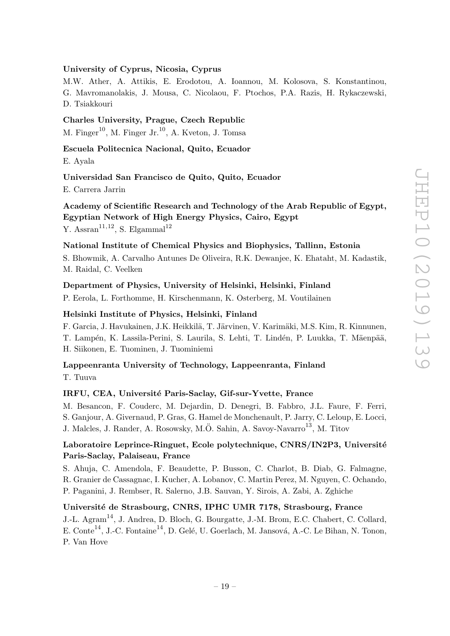### University of Cyprus, Nicosia, Cyprus

M.W. Ather, A. Attikis, E. Erodotou, A. Ioannou, M. Kolosova, S. Konstantinou, G. Mavromanolakis, J. Mousa, C. Nicolaou, F. Ptochos, P.A. Razis, H. Rykaczewski, D. Tsiakkouri

## Charles University, Prague, Czech Republic

M. Finger<sup>10</sup>, M. Finger Jr.<sup>10</sup>, A. Kveton, J. Tomsa

## Escuela Politecnica Nacional, Quito, Ecuador

E. Ayala

### Universidad San Francisco de Quito, Quito, Ecuador

E. Carrera Jarrin

## Academy of Scientific Research and Technology of the Arab Republic of Egypt, Egyptian Network of High Energy Physics, Cairo, Egypt Y. Assran<sup>11,12</sup>, S. Elgammal<sup>12</sup>

#### National Institute of Chemical Physics and Biophysics, Tallinn, Estonia

S. Bhowmik, A. Carvalho Antunes De Oliveira, R.K. Dewanjee, K. Ehataht, M. Kadastik, M. Raidal, C. Veelken

### Department of Physics, University of Helsinki, Helsinki, Finland

P. Eerola, L. Forthomme, H. Kirschenmann, K. Osterberg, M. Voutilainen

### Helsinki Institute of Physics, Helsinki, Finland

F. Garcia, J. Havukainen, J.K. Heikkilä, T. Järvinen, V. Karimäki, M.S. Kim, R. Kinnunen, T. Lampén, K. Lassila-Perini, S. Laurila, S. Lehti, T. Lindén, P. Luukka, T. Mäenpää, H. Siikonen, E. Tuominen, J. Tuominiemi

## Lappeenranta University of Technology, Lappeenranta, Finland T. Tuuva

## IRFU, CEA, Université Paris-Saclay, Gif-sur-Yvette, France

M. Besancon, F. Couderc, M. Dejardin, D. Denegri, B. Fabbro, J.L. Faure, F. Ferri, S. Ganjour, A. Givernaud, P. Gras, G. Hamel de Monchenault, P. Jarry, C. Leloup, E. Locci, J. Malcles, J. Rander, A. Rosowsky, M.Ö. Sahin, A. Savoy-Navarro<sup>13</sup>, M. Titov

## Laboratoire Leprince-Ringuet, Ecole polytechnique, CNRS/IN2P3, Université Paris-Saclay, Palaiseau, France

S. Ahuja, C. Amendola, F. Beaudette, P. Busson, C. Charlot, B. Diab, G. Falmagne,

R. Granier de Cassagnac, I. Kucher, A. Lobanov, C. Martin Perez, M. Nguyen, C. Ochando,

P. Paganini, J. Rembser, R. Salerno, J.B. Sauvan, Y. Sirois, A. Zabi, A. Zghiche

## Universit´e de Strasbourg, CNRS, IPHC UMR 7178, Strasbourg, France

J.-L. Agram<sup>14</sup>, J. Andrea, D. Bloch, G. Bourgatte, J.-M. Brom, E.C. Chabert, C. Collard, E. Conte<sup>14</sup>, J.-C. Fontaine<sup>14</sup>, D. Gelé, U. Goerlach, M. Jansová, A.-C. Le Bihan, N. Tonon, P. Van Hove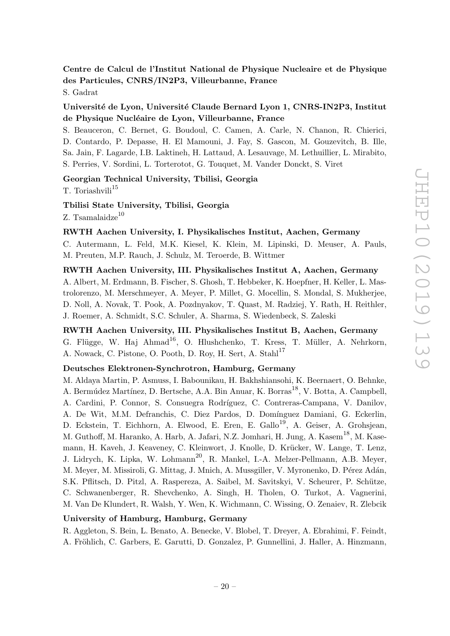## Centre de Calcul de l'Institut National de Physique Nucleaire et de Physique des Particules, CNRS/IN2P3, Villeurbanne, France

S. Gadrat

## Université de Lyon, Université Claude Bernard Lyon 1, CNRS-IN2P3, Institut de Physique Nucléaire de Lyon, Villeurbanne, France

S. Beauceron, C. Bernet, G. Boudoul, C. Camen, A. Carle, N. Chanon, R. Chierici, D. Contardo, P. Depasse, H. El Mamouni, J. Fay, S. Gascon, M. Gouzevitch, B. Ille, Sa. Jain, F. Lagarde, I.B. Laktineh, H. Lattaud, A. Lesauvage, M. Lethuillier, L. Mirabito, S. Perries, V. Sordini, L. Torterotot, G. Touquet, M. Vander Donckt, S. Viret

### Georgian Technical University, Tbilisi, Georgia

T. Toriashvili<sup>15</sup>

Tbilisi State University, Tbilisi, Georgia

 $Z.$  Tsamalaidze $10$ 

### RWTH Aachen University, I. Physikalisches Institut, Aachen, Germany

C. Autermann, L. Feld, M.K. Kiesel, K. Klein, M. Lipinski, D. Meuser, A. Pauls, M. Preuten, M.P. Rauch, J. Schulz, M. Teroerde, B. Wittmer

### RWTH Aachen University, III. Physikalisches Institut A, Aachen, Germany

A. Albert, M. Erdmann, B. Fischer, S. Ghosh, T. Hebbeker, K. Hoepfner, H. Keller, L. Mastrolorenzo, M. Merschmeyer, A. Meyer, P. Millet, G. Mocellin, S. Mondal, S. Mukherjee, D. Noll, A. Novak, T. Pook, A. Pozdnyakov, T. Quast, M. Radziej, Y. Rath, H. Reithler, J. Roemer, A. Schmidt, S.C. Schuler, A. Sharma, S. Wiedenbeck, S. Zaleski

## RWTH Aachen University, III. Physikalisches Institut B, Aachen, Germany

G. Flügge, W. Haj Ahmad<sup>16</sup>, O. Hlushchenko, T. Kress, T. Müller, A. Nehrkorn, A. Nowack, C. Pistone, O. Pooth, D. Roy, H. Sert, A. Stahl<sup>17</sup>

## Deutsches Elektronen-Synchrotron, Hamburg, Germany

M. Aldaya Martin, P. Asmuss, I. Babounikau, H. Bakhshiansohi, K. Beernaert, O. Behnke, A. Bermúdez Martínez, D. Bertsche, A.A. Bin Anuar, K. Borras<sup>18</sup>, V. Botta, A. Campbell, A. Cardini, P. Connor, S. Consuegra Rodríguez, C. Contreras-Campana, V. Danilov, A. De Wit, M.M. Defranchis, C. Diez Pardos, D. Domínguez Damiani, G. Eckerlin, D. Eckstein, T. Eichhorn, A. Elwood, E. Eren, E. Gallo<sup>19</sup>, A. Geiser, A. Grohsjean, M. Guthoff, M. Haranko, A. Harb, A. Jafari, N.Z. Jomhari, H. Jung, A. Kasem<sup>18</sup>, M. Kasemann, H. Kaveh, J. Keaveney, C. Kleinwort, J. Knolle, D. Krücker, W. Lange, T. Lenz, J. Lidrych, K. Lipka, W. Lohmann<sup>20</sup>, R. Mankel, I.-A. Melzer-Pellmann, A.B. Meyer, M. Meyer, M. Missiroli, G. Mittag, J. Mnich, A. Mussgiller, V. Myronenko, D. Pérez Adán, S.K. Pflitsch, D. Pitzl, A. Raspereza, A. Saibel, M. Savitskyi, V. Scheurer, P. Schütze, C. Schwanenberger, R. Shevchenko, A. Singh, H. Tholen, O. Turkot, A. Vagnerini, M. Van De Klundert, R. Walsh, Y. Wen, K. Wichmann, C. Wissing, O. Zenaiev, R. Zlebcik

#### University of Hamburg, Hamburg, Germany

R. Aggleton, S. Bein, L. Benato, A. Benecke, V. Blobel, T. Dreyer, A. Ebrahimi, F. Feindt, A. Fröhlich, C. Garbers, E. Garutti, D. Gonzalez, P. Gunnellini, J. Haller, A. Hinzmann,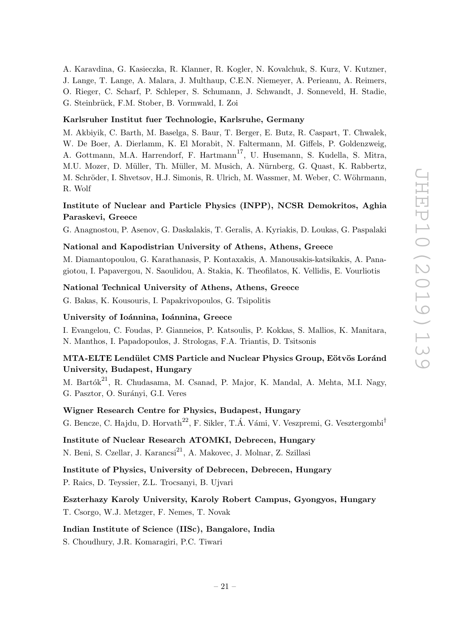A. Karavdina, G. Kasieczka, R. Klanner, R. Kogler, N. Kovalchuk, S. Kurz, V. Kutzner, J. Lange, T. Lange, A. Malara, J. Multhaup, C.E.N. Niemeyer, A. Perieanu, A. Reimers, O. Rieger, C. Scharf, P. Schleper, S. Schumann, J. Schwandt, J. Sonneveld, H. Stadie, G. Steinbrück, F.M. Stober, B. Vormwald, I. Zoi

### Karlsruher Institut fuer Technologie, Karlsruhe, Germany

M. Akbiyik, C. Barth, M. Baselga, S. Baur, T. Berger, E. Butz, R. Caspart, T. Chwalek, W. De Boer, A. Dierlamm, K. El Morabit, N. Faltermann, M. Giffels, P. Goldenzweig, A. Gottmann, M.A. Harrendorf, F. Hartmann<sup>17</sup>, U. Husemann, S. Kudella, S. Mitra, M.U. Mozer, D. Müller, Th. Müller, M. Musich, A. Nürnberg, G. Quast, K. Rabbertz, M. Schröder, I. Shvetsov, H.J. Simonis, R. Ulrich, M. Wassmer, M. Weber, C. Wöhrmann, R. Wolf

## Institute of Nuclear and Particle Physics (INPP), NCSR Demokritos, Aghia Paraskevi, Greece

G. Anagnostou, P. Asenov, G. Daskalakis, T. Geralis, A. Kyriakis, D. Loukas, G. Paspalaki

### National and Kapodistrian University of Athens, Athens, Greece

M. Diamantopoulou, G. Karathanasis, P. Kontaxakis, A. Manousakis-katsikakis, A. Panagiotou, I. Papavergou, N. Saoulidou, A. Stakia, K. Theofilatos, K. Vellidis, E. Vourliotis

#### National Technical University of Athens, Athens, Greece

G. Bakas, K. Kousouris, I. Papakrivopoulos, G. Tsipolitis

#### University of Ioánnina, Ioánnina, Greece

I. Evangelou, C. Foudas, P. Gianneios, P. Katsoulis, P. Kokkas, S. Mallios, K. Manitara, N. Manthos, I. Papadopoulos, J. Strologas, F.A. Triantis, D. Tsitsonis

## MTA-ELTE Lendület CMS Particle and Nuclear Physics Group, Eötvös Loránd University, Budapest, Hungary

M. Bartók<sup>21</sup>, R. Chudasama, M. Csanad, P. Major, K. Mandal, A. Mehta, M.I. Nagy, G. Pasztor, O. Surányi, G.I. Veres

## Wigner Research Centre for Physics, Budapest, Hungary

G. Bencze, C. Hajdu, D. Horvath<sup>22</sup>, F. Sikler, T.Á. Vámi, V. Veszpremi, G. Vesztergombi<sup>†</sup>

## Institute of Nuclear Research ATOMKI, Debrecen, Hungary

N. Beni, S. Czellar, J. Karancsi<sup>21</sup>, A. Makovec, J. Molnar, Z. Szillasi

## Institute of Physics, University of Debrecen, Debrecen, Hungary

P. Raics, D. Teyssier, Z.L. Trocsanyi, B. Ujvari

## Eszterhazy Karoly University, Karoly Robert Campus, Gyongyos, Hungary

T. Csorgo, W.J. Metzger, F. Nemes, T. Novak

#### Indian Institute of Science (IISc), Bangalore, India

S. Choudhury, J.R. Komaragiri, P.C. Tiwari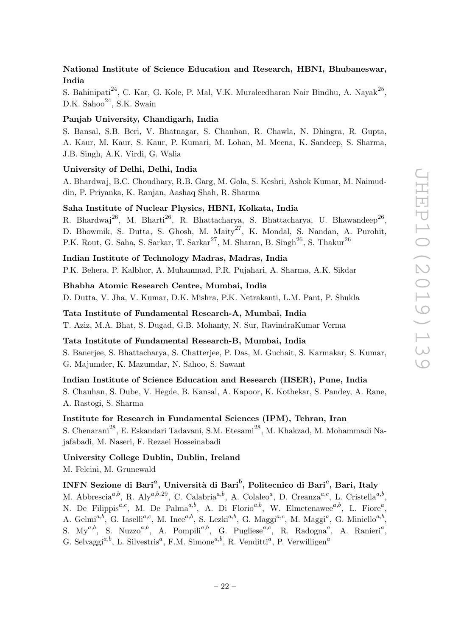## National Institute of Science Education and Research, HBNI, Bhubaneswar, India

S. Bahinipati<sup>24</sup>, C. Kar, G. Kole, P. Mal, V.K. Muraleedharan Nair Bindhu, A. Nayak<sup>25</sup>,  $D.K.$  Sahoo $^{24}$ , S.K. Swain

### Panjab University, Chandigarh, India

S. Bansal, S.B. Beri, V. Bhatnagar, S. Chauhan, R. Chawla, N. Dhingra, R. Gupta, A. Kaur, M. Kaur, S. Kaur, P. Kumari, M. Lohan, M. Meena, K. Sandeep, S. Sharma, J.B. Singh, A.K. Virdi, G. Walia

### University of Delhi, Delhi, India

A. Bhardwaj, B.C. Choudhary, R.B. Garg, M. Gola, S. Keshri, Ashok Kumar, M. Naimuddin, P. Priyanka, K. Ranjan, Aashaq Shah, R. Sharma

### Saha Institute of Nuclear Physics, HBNI, Kolkata, India

R. Bhardwaj<sup>26</sup>, M. Bharti<sup>26</sup>, R. Bhattacharya, S. Bhattacharya, U. Bhawandeep<sup>26</sup>, D. Bhowmik, S. Dutta, S. Ghosh, M. Maity<sup>27</sup>, K. Mondal, S. Nandan, A. Purohit, P.K. Rout, G. Saha, S. Sarkar, T. Sarkar<sup>27</sup>, M. Sharan, B. Singh<sup>26</sup>, S. Thakur<sup>26</sup>

#### Indian Institute of Technology Madras, Madras, India

P.K. Behera, P. Kalbhor, A. Muhammad, P.R. Pujahari, A. Sharma, A.K. Sikdar

#### Bhabha Atomic Research Centre, Mumbai, India

D. Dutta, V. Jha, V. Kumar, D.K. Mishra, P.K. Netrakanti, L.M. Pant, P. Shukla

Tata Institute of Fundamental Research-A, Mumbai, India

T. Aziz, M.A. Bhat, S. Dugad, G.B. Mohanty, N. Sur, RavindraKumar Verma

#### Tata Institute of Fundamental Research-B, Mumbai, India

S. Banerjee, S. Bhattacharya, S. Chatterjee, P. Das, M. Guchait, S. Karmakar, S. Kumar, G. Majumder, K. Mazumdar, N. Sahoo, S. Sawant

### Indian Institute of Science Education and Research (IISER), Pune, India

S. Chauhan, S. Dube, V. Hegde, B. Kansal, A. Kapoor, K. Kothekar, S. Pandey, A. Rane, A. Rastogi, S. Sharma

## Institute for Research in Fundamental Sciences (IPM), Tehran, Iran

S. Chenarani<sup>28</sup>, E. Eskandari Tadavani, S.M. Etesami<sup>28</sup>, M. Khakzad, M. Mohammadi Najafabadi, M. Naseri, F. Rezaei Hosseinabadi

#### University College Dublin, Dublin, Ireland

M. Felcini, M. Grunewald

## INFN Sezione di Bari $^a$ , Università di Bari $^b$ , Politecnico di Bari $^c$ , Bari, Italy

M. Abbrescia<sup>a,b</sup>, R. Aly<sup>a,b,29</sup>, C. Calabria<sup>a,b</sup>, A. Colaleo<sup>a</sup>, D. Creanza<sup>a,c</sup>, L. Cristella<sup>a,b</sup>, N. De Filippis<sup>a,c</sup>, M. De Palma<sup>a,b</sup>, A. Di Florio<sup>a,b</sup>, W. Elmetenawee<sup>a,b</sup>, L. Fiore<sup>a</sup>, A. Gelmi<sup>a,b</sup>, G. Iaselli<sup>a,c</sup>, M. Ince<sup>a,b</sup>, S. Lezki<sup>a,b</sup>, G. Maggi<sup>a,c</sup>, M. Maggi<sup>a</sup>, G. Miniello<sup>a,b</sup>, S.  $\text{My}^{a,b}$ , S. Nuzzo<sup>a,b</sup>, A. Pompili<sup>a,b</sup>, G. Pugliese<sup>a,c</sup>, R. Radogna<sup>a</sup>, A. Ranieri<sup>a</sup>, G. Selvaggi<sup>a,b</sup>, L. Silvestris<sup>a</sup>, F.M. Simone<sup>a,b</sup>, R. Venditti<sup>a</sup>, P. Verwilligen<sup>a</sup>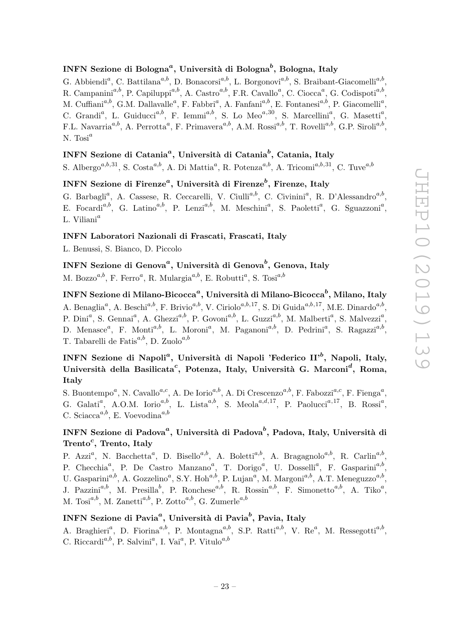## INFN Sezione di Bologna $^a,$  Università di Bologna $^b,$  Bologna, Italy

G. Abbiendi<sup>a</sup>, C. Battilana<sup>a,b</sup>, D. Bonacorsi<sup>a,b</sup>, L. Borgonovi<sup>a,b</sup>, S. Braibant-Giacomelli<sup>a,b</sup>, R. Campanini<sup>a,b</sup>, P. Capiluppi<sup>a,b</sup>, A. Castro<sup>a,b</sup>, F.R. Cavallo<sup>a</sup>, C. Ciocca<sup>a</sup>, G. Codispoti<sup>a,b</sup>, M. Cuffiani<sup>a,b</sup>, G.M. Dallavalle<sup>a</sup>, F. Fabbri<sup>a</sup>, A. Fanfani<sup>a,b</sup>, E. Fontanesi<sup>a,b</sup>, P. Giacomelli<sup>a</sup>, C. Grandi<sup>a</sup>, L. Guiducci<sup>a,b</sup>, F. Iemmi<sup>a,b</sup>, S. Lo Meo<sup>a,30</sup>, S. Marcellini<sup>a</sup>, G. Masetti<sup>a</sup>, F.L. Navarria<sup>a,b</sup>, A. Perrotta<sup>a</sup>, F. Primavera<sup>a,b</sup>, A.M. Rossi<sup>a,b</sup>, T. Rovelli<sup>a,b</sup>, G.P. Siroli<sup>a,b</sup>, N. Tosi $^a$ 

## INFN Sezione di Catania $^a,$  Università di Catania $^b,$  Catania, Italy

S. Albergo<sup>a,b,31</sup>, S. Costa<sup>a,b</sup>, A. Di Mattia<sup>a</sup>, R. Potenza<sup>a,b</sup>, A. Tricomi<sup>a,b,31</sup>, C. Tuve<sup>a,b</sup>

## INFN Sezione di Firenze $^a,$  Università di Firenze $^b,$  Firenze, Italy

G. Barbagli<sup>a</sup>, A. Cassese, R. Ceccarelli, V. Ciulli<sup>a,b</sup>, C. Civinini<sup>a</sup>, R. D'Alessandro<sup>a,b</sup>, E. Focardi<sup>a,b</sup>, G. Latino<sup>a,b</sup>, P. Lenzi<sup>a,b</sup>, M. Meschini<sup>a</sup>, S. Paoletti<sup>a</sup>, G. Sguazzoni<sup>a</sup>, L. Viliani $^a$ 

## INFN Laboratori Nazionali di Frascati, Frascati, Italy

L. Benussi, S. Bianco, D. Piccolo

## INFN Sezione di Genova $^a,$  Università di Genova $^b,$  Genova, Italy

M. Bozzo<sup>a,b</sup>, F. Ferro<sup>a</sup>, R. Mulargia<sup>a,b</sup>, E. Robutti<sup>a</sup>, S. Tosi<sup>a,b</sup>

## INFN Sezione di Milano-Bicocca $^a,$  Università di Milano-Bicocca $^b,$  Milano, Italy

A. Benaglia<sup>a</sup>, A. Beschi<sup>a,b</sup>, F. Brivio<sup>a,b</sup>, V. Ciriolo<sup>a,b,17</sup>, S. Di Guida<sup>a,b,17</sup>, M.E. Dinardo<sup>a,b</sup>, P. Dini<sup>a</sup>, S. Gennai<sup>a</sup>, A. Ghezzi<sup>a,b</sup>, P. Govoni<sup>a,b</sup>, L. Guzzi<sup>a,b</sup>, M. Malberti<sup>a</sup>, S. Malvezzi<sup>a</sup>, D. Menasce<sup>a</sup>, F. Monti<sup>a,b</sup>, L. Moroni<sup>a</sup>, M. Paganoni<sup>a,b</sup>, D. Pedrini<sup>a</sup>, S. Ragazzi<sup>a,b</sup>, T. Tabarelli de Fatis $a,b$ , D. Zuolo $a,b$ 

## INFN Sezione di Napoli $^a$ , Università di Napoli 'Federico II' $^b$ , Napoli, Italy, Università della Basilicata $^c$ , Potenza, Italy, Università G. Marconi $^d$ , Roma, Italy

S. Buontempo<sup>a</sup>, N. Cavallo<sup>a,c</sup>, A. De Iorio<sup>a,b</sup>, A. Di Crescenzo<sup>a,b</sup>, F. Fabozzi<sup>a,c</sup>, F. Fienga<sup>a</sup>, G. Galati<sup>a</sup>, A.O.M. Iorio<sup>a,b</sup>, L. Lista<sup>a,b</sup>, S. Meola<sup>a,d,17</sup>, P. Paolucci<sup>a,17</sup>, B. Rossi<sup>a</sup>, C. Sciacca<sup> $a,b$ </sup>, E. Voevodina $a,b$ 

## INFN Sezione di Padova $^a,$  Università di Padova $^b,$  Padova, Italy, Università di  $\operatorname{Trento}^c, \operatorname{Trento}, \operatorname{Italy}$

P. Azzi<sup>a</sup>, N. Bacchetta<sup>a</sup>, D. Bisello<sup>a,b</sup>, A. Boletti<sup>a,b</sup>, A. Bragagnolo<sup>a,b</sup>, R. Carlin<sup>a,b</sup>, P. Checchia<sup>a</sup>, P. De Castro Manzano<sup>a</sup>, T. Dorigo<sup>a</sup>, U. Dosselli<sup>a</sup>, F. Gasparini<sup>a,b</sup>, U. Gasparini<sup>a,b</sup>, A. Gozzelino<sup>a</sup>, S.Y. Hoh<sup>a,b</sup>, P. Lujan<sup>a</sup>, M. Margoni<sup>a,b</sup>, A.T. Meneguzzo<sup>a,b</sup>, J. Pazzini<sup>a,b</sup>, M. Presilla<sup>b</sup>, P. Ronchese<sup>a,b</sup>, R. Rossin<sup>a,b</sup>, F. Simonetto<sup>a,b</sup>, A. Tiko<sup>a</sup>, M. Tosi<sup>a,b</sup>, M. Zanetti<sup>a,b</sup>, P. Zotto<sup>a,b</sup>, G. Zumerle<sup>a,b</sup>

## INFN Sezione di Pavia $^a,$  Università di Pavia $^b,$  Pavia, Italy

A. Braghieri<sup>a</sup>, D. Fiorina<sup>a,b</sup>, P. Montagna<sup>a,b</sup>, S.P. Ratti<sup>a,b</sup>, V. Re<sup>a</sup>, M. Ressegotti<sup>a,b</sup>, C. Riccardi<sup>a,b</sup>, P. Salvini<sup>a</sup>, I. Vai<sup>a</sup>, P. Vitulo<sup>a,b</sup>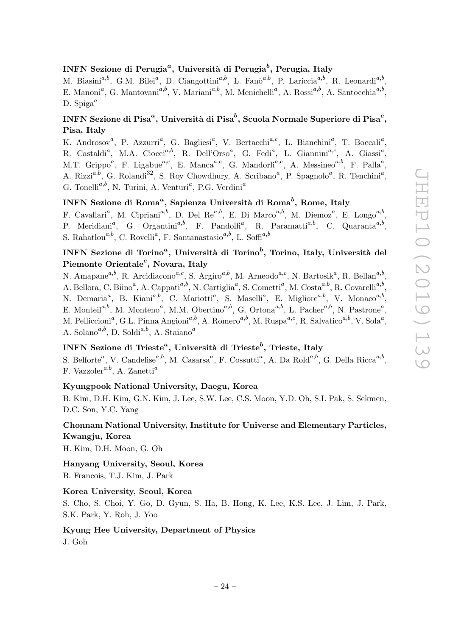## INFN Sezione di Perugia $^a,$  Università di Perugia $^b,$  Perugia, Italy

M. Biasini<sup>a,b</sup>, G.M. Bilei<sup>a</sup>, D. Ciangottini<sup>a,b</sup>, L. Fanò<sup>a,b</sup>, P. Lariccia<sup>a,b</sup>, R. Leonardi<sup>a,b</sup>, E. Manoni<sup>a</sup>, G. Mantovani<sup>a,b</sup>, V. Mariani<sup>a,b</sup>, M. Menichelli<sup>a</sup>, A. Rossi<sup>a,b</sup>, A. Santocchia<sup>a,b</sup>, D.  $Spiga^a$ 

## INFN Sezione di Pisa $^a,$  Università di Pisa $^b,$  Scuola Normale Superiore di Pisa $^c,$ Pisa, Italy

K. Androsov<sup>a</sup>, P. Azzurri<sup>a</sup>, G. Bagliesi<sup>a</sup>, V. Bertacchi<sup>a,c</sup>, L. Bianchini<sup>a</sup>, T. Boccali<sup>a</sup>, R. Castaldi<sup>a</sup>, M.A. Ciocci<sup>a,b</sup>, R. Dell'Orso<sup>a</sup>, G. Fedi<sup>a</sup>, L. Giannini<sup>a,c</sup>, A. Giassi<sup>a</sup>, M.T. Grippo<sup>a</sup>, F. Ligabue<sup>a,c</sup>, E. Manca<sup>a,c</sup>, G. Mandorli<sup>a,c</sup>, A. Messineo<sup>a,b</sup>, F. Palla<sup>a</sup>, A. Rizzi<sup>a,b</sup>, G. Rolandi<sup>32</sup>, S. Roy Chowdhury, A. Scribano<sup>a</sup>, P. Spagnolo<sup>a</sup>, R. Tenchini<sup>a</sup>, G. Tonelli $a,b$ , N. Turini, A. Venturi<sup>a</sup>, P.G. Verdini<sup>a</sup>

## INFN Sezione di Roma $^a,$  Sapienza Università di Roma $^b,$  Rome, Italy

F. Cavallari<sup>a</sup>, M. Cipriani<sup>a,b</sup>, D. Del Re<sup>a,b</sup>, E. Di Marco<sup>a,b</sup>, M. Diemoz<sup>a</sup>, E. Longo<sup>a,b</sup>, P. Meridiani<sup>a</sup>, G. Organtini<sup>a,b</sup>, F. Pandolfi<sup>a</sup>, R. Paramatti<sup>a,b</sup>, C. Quaranta<sup>a,b</sup>, S. Rahatlou $a,b$ , C. Rovelli $^a$ , F. Santanastasio $a,b$ , L. Soffi $^{a,b}$ 

## INFN Sezione di Torino $^a,$  Università di Torino $^b,$  Torino, Italy, Università del Piemonte Orientale $^c$ , Novara, Italy

N. Amapane<sup>a,b</sup>, R. Arcidiacono<sup>a,c</sup>, S. Argiro<sup>a,b</sup>, M. Arneodo<sup>a,c</sup>, N. Bartosik<sup>a</sup>, R. Bellan<sup>a,b</sup>, A. Bellora, C. Biino<sup>a</sup>, A. Cappati<sup>a,b</sup>, N. Cartiglia<sup>a</sup>, S. Cometti<sup>a</sup>, M. Costa<sup>a,b</sup>, R. Covarelli<sup>a,b</sup>, N. Demaria<sup>a</sup>, B. Kiani<sup>a,b</sup>, C. Mariotti<sup>a</sup>, S. Maselli<sup>a</sup>, E. Migliore<sup>a,b</sup>, V. Monaco<sup>a,b</sup>, E. Monteil<sup>a,b</sup>, M. Monteno<sup>a</sup>, M.M. Obertino<sup>a,b</sup>, G. Ortona<sup>a,b</sup>, L. Pacher<sup>a,b</sup>, N. Pastrone<sup>a</sup>, M. Pelliccioni<sup>a</sup>, G.L. Pinna Angioni<sup>a,b</sup>, A. Romero<sup>a,b</sup>, M. Ruspa<sup>a,c</sup>, R. Salvatico<sup>a,b</sup>, V. Sola<sup>a</sup>, A. Solano<sup>a,b</sup>, D. Soldi<sup>a,b</sup>, A. Staiano<sup>a</sup>

## INFN Sezione di Trieste $^a,$  Università di Trieste $^b,$  Trieste, Italy

S. Belforte<sup>a</sup>, V. Candelise<sup>a,b</sup>, M. Casarsa<sup>a</sup>, F. Cossutti<sup>a</sup>, A. Da Rold<sup>a,b</sup>, G. Della Ricca<sup>a,b</sup>, F. Vazzoler<sup>a,b</sup>, A. Zanetti<sup>a</sup>

## Kyungpook National University, Daegu, Korea

B. Kim, D.H. Kim, G.N. Kim, J. Lee, S.W. Lee, C.S. Moon, Y.D. Oh, S.I. Pak, S. Sekmen, D.C. Son, Y.C. Yang

## Chonnam National University, Institute for Universe and Elementary Particles, Kwangju, Korea

H. Kim, D.H. Moon, G. Oh

Hanyang University, Seoul, Korea B. Francois, T.J. Kim, J. Park

### Korea University, Seoul, Korea

S. Cho, S. Choi, Y. Go, D. Gyun, S. Ha, B. Hong, K. Lee, K.S. Lee, J. Lim, J. Park, S.K. Park, Y. Roh, J. Yoo

## Kyung Hee University, Department of Physics

J. Goh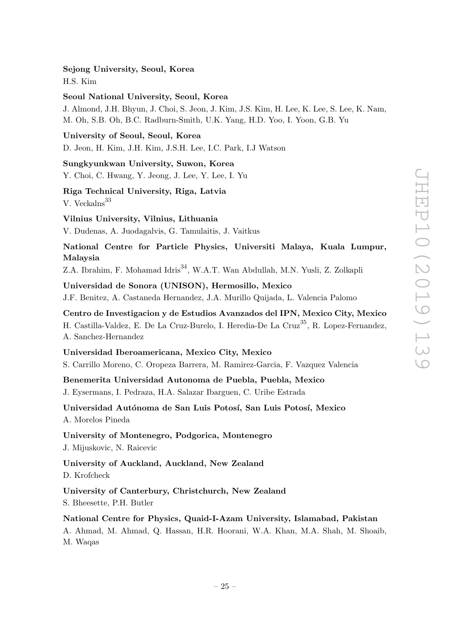Sejong University, Seoul, Korea H.S. Kim

#### Seoul National University, Seoul, Korea

J. Almond, J.H. Bhyun, J. Choi, S. Jeon, J. Kim, J.S. Kim, H. Lee, K. Lee, S. Lee, K. Nam, M. Oh, S.B. Oh, B.C. Radburn-Smith, U.K. Yang, H.D. Yoo, I. Yoon, G.B. Yu

University of Seoul, Seoul, Korea

D. Jeon, H. Kim, J.H. Kim, J.S.H. Lee, I.C. Park, I.J Watson

Sungkyunkwan University, Suwon, Korea

Y. Choi, C. Hwang, Y. Jeong, J. Lee, Y. Lee, I. Yu

Riga Technical University, Riga, Latvia V. Veckalns<sup>33</sup>

Vilnius University, Vilnius, Lithuania

V. Dudenas, A. Juodagalvis, G. Tamulaitis, J. Vaitkus

## National Centre for Particle Physics, Universiti Malaya, Kuala Lumpur, Malaysia

Z.A. Ibrahim, F. Mohamad Idris<sup>34</sup>, W.A.T. Wan Abdullah, M.N. Yusli, Z. Zolkapli

Universidad de Sonora (UNISON), Hermosillo, Mexico

J.F. Benitez, A. Castaneda Hernandez, J.A. Murillo Quijada, L. Valencia Palomo

Centro de Investigacion y de Estudios Avanzados del IPN, Mexico City, Mexico

H. Castilla-Valdez, E. De La Cruz-Burelo, I. Heredia-De La Cruz<sup>35</sup>, R. Lopez-Fernandez, A. Sanchez-Hernandez

#### Universidad Iberoamericana, Mexico City, Mexico

S. Carrillo Moreno, C. Oropeza Barrera, M. Ramirez-Garcia, F. Vazquez Valencia

Benemerita Universidad Autonoma de Puebla, Puebla, Mexico

J. Eysermans, I. Pedraza, H.A. Salazar Ibarguen, C. Uribe Estrada

### Universidad Autónoma de San Luis Potosí, San Luis Potosí, Mexico

A. Morelos Pineda

University of Montenegro, Podgorica, Montenegro J. Mijuskovic, N. Raicevic

## University of Auckland, Auckland, New Zealand D. Krofcheck

University of Canterbury, Christchurch, New Zealand S. Bheesette, P.H. Butler

#### National Centre for Physics, Quaid-I-Azam University, Islamabad, Pakistan

A. Ahmad, M. Ahmad, Q. Hassan, H.R. Hoorani, W.A. Khan, M.A. Shah, M. Shoaib, M. Waqas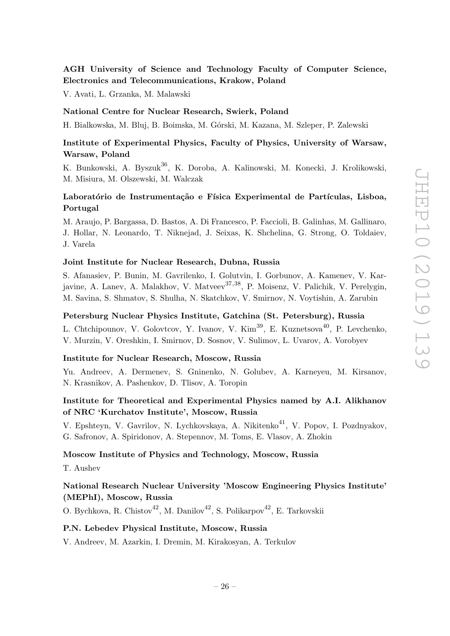## AGH University of Science and Technology Faculty of Computer Science, Electronics and Telecommunications, Krakow, Poland

V. Avati, L. Grzanka, M. Malawski

#### National Centre for Nuclear Research, Swierk, Poland

H. Bialkowska, M. Bluj, B. Boimska, M. G´orski, M. Kazana, M. Szleper, P. Zalewski

## Institute of Experimental Physics, Faculty of Physics, University of Warsaw, Warsaw, Poland

K. Bunkowski, A. Byszuk<sup>36</sup>, K. Doroba, A. Kalinowski, M. Konecki, J. Krolikowski, M. Misiura, M. Olszewski, M. Walczak

## Laboratório de Instrumentação e Física Experimental de Partículas, Lisboa, Portugal

M. Araujo, P. Bargassa, D. Bastos, A. Di Francesco, P. Faccioli, B. Galinhas, M. Gallinaro, J. Hollar, N. Leonardo, T. Niknejad, J. Seixas, K. Shchelina, G. Strong, O. Toldaiev, J. Varela

#### Joint Institute for Nuclear Research, Dubna, Russia

S. Afanasiev, P. Bunin, M. Gavrilenko, I. Golutvin, I. Gorbunov, A. Kamenev, V. Karjavine, A. Lanev, A. Malakhov, V. Matveev<sup>37,38</sup>, P. Moisenz, V. Palichik, V. Perelygin, M. Savina, S. Shmatov, S. Shulha, N. Skatchkov, V. Smirnov, N. Voytishin, A. Zarubin

#### Petersburg Nuclear Physics Institute, Gatchina (St. Petersburg), Russia

L. Chtchipounov, V. Golovtcov, Y. Ivanov, V. Kim<sup>39</sup>, E. Kuznetsova<sup>40</sup>, P. Levchenko, V. Murzin, V. Oreshkin, I. Smirnov, D. Sosnov, V. Sulimov, L. Uvarov, A. Vorobyev

#### Institute for Nuclear Research, Moscow, Russia

Yu. Andreev, A. Dermenev, S. Gninenko, N. Golubev, A. Karneyeu, M. Kirsanov, N. Krasnikov, A. Pashenkov, D. Tlisov, A. Toropin

## Institute for Theoretical and Experimental Physics named by A.I. Alikhanov of NRC 'Kurchatov Institute', Moscow, Russia

V. Epshteyn, V. Gavrilov, N. Lychkovskaya, A. Nikitenko<sup>41</sup>, V. Popov, I. Pozdnyakov, G. Safronov, A. Spiridonov, A. Stepennov, M. Toms, E. Vlasov, A. Zhokin

#### Moscow Institute of Physics and Technology, Moscow, Russia

T. Aushev

## National Research Nuclear University 'Moscow Engineering Physics Institute' (MEPhI), Moscow, Russia

O. Bychkova, R. Chistov $^{42},$ M. Danilov $^{42},$ S. Polikarpov $^{42},$ E. Tarkovskii

### P.N. Lebedev Physical Institute, Moscow, Russia

V. Andreev, M. Azarkin, I. Dremin, M. Kirakosyan, A. Terkulov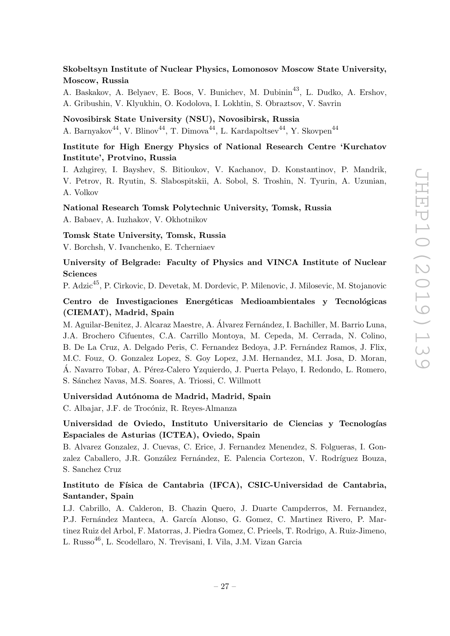## Skobeltsyn Institute of Nuclear Physics, Lomonosov Moscow State University, Moscow, Russia

A. Baskakov, A. Belyaev, E. Boos, V. Bunichev, M. Dubinin<sup>43</sup>, L. Dudko, A. Ershov, A. Gribushin, V. Klyukhin, O. Kodolova, I. Lokhtin, S. Obraztsov, V. Savrin

## Novosibirsk State University (NSU), Novosibirsk, Russia

A. Barnyakov<sup>44</sup>, V. Blinov<sup>44</sup>, T. Dimova<sup>44</sup>, L. Kardapoltsev<sup>44</sup>, Y. Skovpen<sup>44</sup>

## Institute for High Energy Physics of National Research Centre 'Kurchatov Institute', Protvino, Russia

I. Azhgirey, I. Bayshev, S. Bitioukov, V. Kachanov, D. Konstantinov, P. Mandrik, V. Petrov, R. Ryutin, S. Slabospitskii, A. Sobol, S. Troshin, N. Tyurin, A. Uzunian, A. Volkov

### National Research Tomsk Polytechnic University, Tomsk, Russia

A. Babaev, A. Iuzhakov, V. Okhotnikov

## Tomsk State University, Tomsk, Russia

V. Borchsh, V. Ivanchenko, E. Tcherniaev

## University of Belgrade: Faculty of Physics and VINCA Institute of Nuclear Sciences

P. Adzic<sup>45</sup>, P. Cirkovic, D. Devetak, M. Dordevic, P. Milenovic, J. Milosevic, M. Stojanovic

## Centro de Investigaciones Energéticas Medioambientales y Tecnológicas (CIEMAT), Madrid, Spain

M. Aguilar-Benitez, J. Alcaraz Maestre, A. Álvarez Fernández, I. Bachiller, M. Barrio Luna, J.A. Brochero Cifuentes, C.A. Carrillo Montoya, M. Cepeda, M. Cerrada, N. Colino, B. De La Cruz, A. Delgado Peris, C. Fernandez Bedoya, J.P. Fernández Ramos, J. Flix, M.C. Fouz, O. Gonzalez Lopez, S. Goy Lopez, J.M. Hernandez, M.I. Josa, D. Moran, A. Navarro Tobar, A. Pérez-Calero Yzquierdo, J. Puerta Pelayo, I. Redondo, L. Romero, S. Sánchez Navas, M.S. Soares, A. Triossi, C. Willmott

### Universidad Autónoma de Madrid, Madrid, Spain

C. Albajar, J.F. de Trocóniz, R. Reyes-Almanza

## Universidad de Oviedo, Instituto Universitario de Ciencias y Tecnologías Espaciales de Asturias (ICTEA), Oviedo, Spain

B. Alvarez Gonzalez, J. Cuevas, C. Erice, J. Fernandez Menendez, S. Folgueras, I. Gonzalez Caballero, J.R. González Fernández, E. Palencia Cortezon, V. Rodríguez Bouza, S. Sanchez Cruz

## Instituto de Física de Cantabria (IFCA), CSIC-Universidad de Cantabria, Santander, Spain

I.J. Cabrillo, A. Calderon, B. Chazin Quero, J. Duarte Campderros, M. Fernandez, P.J. Fernández Manteca, A. García Alonso, G. Gomez, C. Martinez Rivero, P. Martinez Ruiz del Arbol, F. Matorras, J. Piedra Gomez, C. Prieels, T. Rodrigo, A. Ruiz-Jimeno, L. Russo<sup>46</sup>, L. Scodellaro, N. Trevisani, I. Vila, J.M. Vizan Garcia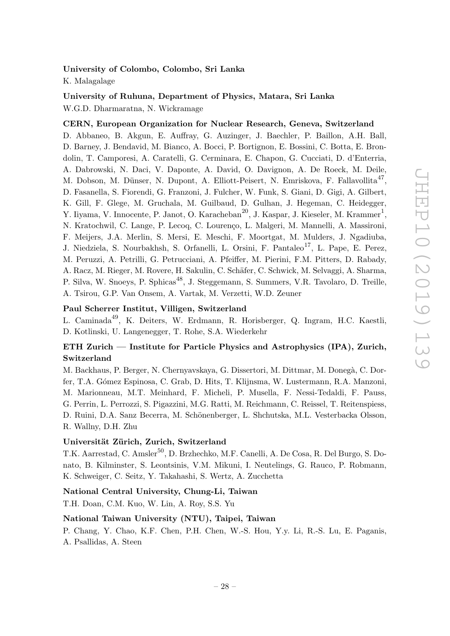### University of Colombo, Colombo, Sri Lanka

K. Malagalage

University of Ruhuna, Department of Physics, Matara, Sri Lanka W.G.D. Dharmaratna, N. Wickramage

#### CERN, European Organization for Nuclear Research, Geneva, Switzerland

D. Abbaneo, B. Akgun, E. Auffray, G. Auzinger, J. Baechler, P. Baillon, A.H. Ball, D. Barney, J. Bendavid, M. Bianco, A. Bocci, P. Bortignon, E. Bossini, C. Botta, E. Brondolin, T. Camporesi, A. Caratelli, G. Cerminara, E. Chapon, G. Cucciati, D. d'Enterria, A. Dabrowski, N. Daci, V. Daponte, A. David, O. Davignon, A. De Roeck, M. Deile, M. Dobson, M. Dünser, N. Dupont, A. Elliott-Peisert, N. Emriskova, F. Fallavollita<sup>47</sup>, D. Fasanella, S. Fiorendi, G. Franzoni, J. Fulcher, W. Funk, S. Giani, D. Gigi, A. Gilbert, K. Gill, F. Glege, M. Gruchala, M. Guilbaud, D. Gulhan, J. Hegeman, C. Heidegger, Y. Iiyama, V. Innocente, P. Janot, O. Karacheban<sup>20</sup>, J. Kaspar, J. Kieseler, M. Krammer<sup>1</sup>, N. Kratochwil, C. Lange, P. Lecoq, C. Lourenço, L. Malgeri, M. Mannelli, A. Massironi, F. Meijers, J.A. Merlin, S. Mersi, E. Meschi, F. Moortgat, M. Mulders, J. Ngadiuba, J. Niedziela, S. Nourbakhsh, S. Orfanelli, L. Orsini, F. Pantaleo<sup>17</sup>, L. Pape, E. Perez, M. Peruzzi, A. Petrilli, G. Petrucciani, A. Pfeiffer, M. Pierini, F.M. Pitters, D. Rabady, A. Racz, M. Rieger, M. Rovere, H. Sakulin, C. Schäfer, C. Schwick, M. Selvaggi, A. Sharma, P. Silva, W. Snoeys, P. Sphicas<sup>48</sup>, J. Steggemann, S. Summers, V.R. Tavolaro, D. Treille, A. Tsirou, G.P. Van Onsem, A. Vartak, M. Verzetti, W.D. Zeuner

#### Paul Scherrer Institut, Villigen, Switzerland

L. Caminada<sup>49</sup>, K. Deiters, W. Erdmann, R. Horisberger, Q. Ingram, H.C. Kaestli, D. Kotlinski, U. Langenegger, T. Rohe, S.A. Wiederkehr

## ETH Zurich — Institute for Particle Physics and Astrophysics (IPA), Zurich, Switzerland

M. Backhaus, P. Berger, N. Chernyavskaya, G. Dissertori, M. Dittmar, M. Donegà, C. Dorfer, T.A. G´omez Espinosa, C. Grab, D. Hits, T. Klijnsma, W. Lustermann, R.A. Manzoni, M. Marionneau, M.T. Meinhard, F. Micheli, P. Musella, F. Nessi-Tedaldi, F. Pauss, G. Perrin, L. Perrozzi, S. Pigazzini, M.G. Ratti, M. Reichmann, C. Reissel, T. Reitenspiess, D. Ruini, D.A. Sanz Becerra, M. Schönenberger, L. Shchutska, M.L. Vesterbacka Olsson, R. Wallny, D.H. Zhu

## Universität Zürich, Zurich, Switzerland

T.K. Aarrestad, C. Amsler<sup>50</sup>, D. Brzhechko, M.F. Canelli, A. De Cosa, R. Del Burgo, S. Donato, B. Kilminster, S. Leontsinis, V.M. Mikuni, I. Neutelings, G. Rauco, P. Robmann, K. Schweiger, C. Seitz, Y. Takahashi, S. Wertz, A. Zucchetta

### National Central University, Chung-Li, Taiwan

T.H. Doan, C.M. Kuo, W. Lin, A. Roy, S.S. Yu

#### National Taiwan University (NTU), Taipei, Taiwan

P. Chang, Y. Chao, K.F. Chen, P.H. Chen, W.-S. Hou, Y.y. Li, R.-S. Lu, E. Paganis, A. Psallidas, A. Steen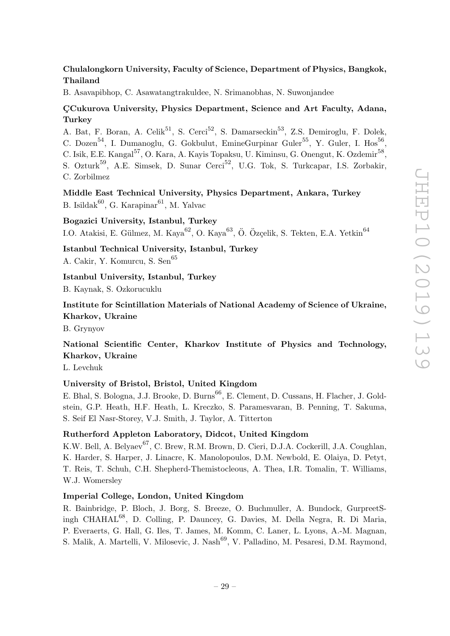## Chulalongkorn University, Faculty of Science, Department of Physics, Bangkok, Thailand

B. Asavapibhop, C. Asawatangtrakuldee, N. Srimanobhas, N. Suwonjandee

## CCukurova University, Physics Department, Science and Art Faculty, Adana, **Turkey**

A. Bat, F. Boran, A. Celik<sup>51</sup>, S. Cerci<sup>52</sup>, S. Damarseckin<sup>53</sup>, Z.S. Demiroglu, F. Dolek, C. Dozen<sup>54</sup>, I. Dumanoglu, G. Gokbulut, EmineGurpinar Guler<sup>55</sup>, Y. Guler, I. Hos<sup>56</sup>, C. Isik, E.E. Kangal<sup>57</sup>, O. Kara, A. Kayis Topaksu, U. Kiminsu, G. Onengut, K. Ozdemir<sup>58</sup>, S. Ozturk<sup>59</sup>, A.E. Simsek, D. Sunar Cerci<sup>52</sup>, U.G. Tok, S. Turkcapar, I.S. Zorbakir, C. Zorbilmez

## Middle East Technical University, Physics Department, Ankara, Turkey B. Isildak $^{60}$ , G. Karapinar<sup>61</sup>, M. Yalvac

Bogazici University, Istanbul, Turkey

I.O. Atakisi, E. Gülmez, M. Kaya $^{62}$ , O. Kaya $^{63}$ , Ö. Özçelik, S. Tekten, E.A. Yetkin $^{64}$ 

Istanbul Technical University, Istanbul, Turkey

A. Cakir, Y. Komurcu, S. Sen<sup>65</sup>

## Istanbul University, Istanbul, Turkey

B. Kaynak, S. Ozkorucuklu

## Institute for Scintillation Materials of National Academy of Science of Ukraine, Kharkov, Ukraine

B. Grynyov

## National Scientific Center, Kharkov Institute of Physics and Technology, Kharkov, Ukraine

L. Levchuk

## University of Bristol, Bristol, United Kingdom

E. Bhal, S. Bologna, J.J. Brooke, D. Burns<sup>66</sup>, E. Clement, D. Cussans, H. Flacher, J. Goldstein, G.P. Heath, H.F. Heath, L. Kreczko, S. Paramesvaran, B. Penning, T. Sakuma, S. Seif El Nasr-Storey, V.J. Smith, J. Taylor, A. Titterton

## Rutherford Appleton Laboratory, Didcot, United Kingdom

K.W. Bell, A. Belyaev<sup>67</sup>, C. Brew, R.M. Brown, D. Cieri, D.J.A. Cockerill, J.A. Coughlan, K. Harder, S. Harper, J. Linacre, K. Manolopoulos, D.M. Newbold, E. Olaiya, D. Petyt, T. Reis, T. Schuh, C.H. Shepherd-Themistocleous, A. Thea, I.R. Tomalin, T. Williams, W.J. Womersley

## Imperial College, London, United Kingdom

R. Bainbridge, P. Bloch, J. Borg, S. Breeze, O. Buchmuller, A. Bundock, GurpreetSingh CHAHAL68, D. Colling, P. Dauncey, G. Davies, M. Della Negra, R. Di Maria, P. Everaerts, G. Hall, G. Iles, T. James, M. Komm, C. Laner, L. Lyons, A.-M. Magnan, S. Malik, A. Martelli, V. Milosevic, J. Nash<sup>69</sup>, V. Palladino, M. Pesaresi, D.M. Raymond,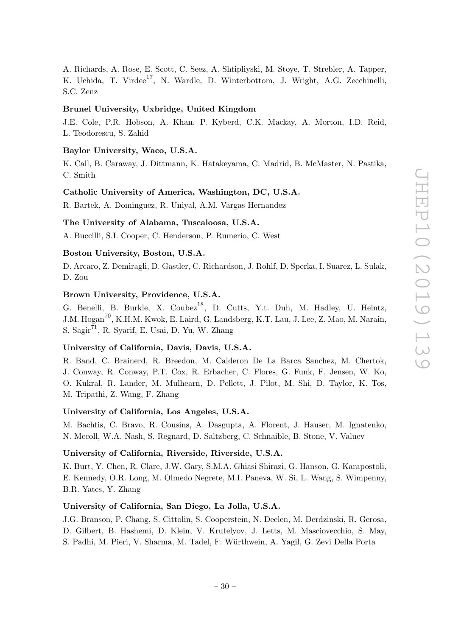A. Richards, A. Rose, E. Scott, C. Seez, A. Shtipliyski, M. Stoye, T. Strebler, A. Tapper, K. Uchida, T. Virdee<sup>17</sup>, N. Wardle, D. Winterbottom, J. Wright, A.G. Zecchinelli, S.C. Zenz

#### Brunel University, Uxbridge, United Kingdom

J.E. Cole, P.R. Hobson, A. Khan, P. Kyberd, C.K. Mackay, A. Morton, I.D. Reid, L. Teodorescu, S. Zahid

#### Baylor University, Waco, U.S.A.

K. Call, B. Caraway, J. Dittmann, K. Hatakeyama, C. Madrid, B. McMaster, N. Pastika, C. Smith

#### Catholic University of America, Washington, DC, U.S.A.

R. Bartek, A. Dominguez, R. Uniyal, A.M. Vargas Hernandez

#### The University of Alabama, Tuscaloosa, U.S.A.

A. Buccilli, S.I. Cooper, C. Henderson, P. Rumerio, C. West

### Boston University, Boston, U.S.A.

D. Arcaro, Z. Demiragli, D. Gastler, C. Richardson, J. Rohlf, D. Sperka, I. Suarez, L. Sulak, D. Zou

### Brown University, Providence, U.S.A.

G. Benelli, B. Burkle, X. Coubez<sup>18</sup>, D. Cutts, Y.t. Duh, M. Hadley, U. Heintz, J.M. Hogan<sup>70</sup>, K.H.M. Kwok, E. Laird, G. Landsberg, K.T. Lau, J. Lee, Z. Mao, M. Narain, S. Sagir71, R. Syarif, E. Usai, D. Yu, W. Zhang

#### University of California, Davis, Davis, U.S.A.

R. Band, C. Brainerd, R. Breedon, M. Calderon De La Barca Sanchez, M. Chertok, J. Conway, R. Conway, P.T. Cox, R. Erbacher, C. Flores, G. Funk, F. Jensen, W. Ko, O. Kukral, R. Lander, M. Mulhearn, D. Pellett, J. Pilot, M. Shi, D. Taylor, K. Tos, M. Tripathi, Z. Wang, F. Zhang

### University of California, Los Angeles, U.S.A.

M. Bachtis, C. Bravo, R. Cousins, A. Dasgupta, A. Florent, J. Hauser, M. Ignatenko, N. Mccoll, W.A. Nash, S. Regnard, D. Saltzberg, C. Schnaible, B. Stone, V. Valuev

### University of California, Riverside, Riverside, U.S.A.

K. Burt, Y. Chen, R. Clare, J.W. Gary, S.M.A. Ghiasi Shirazi, G. Hanson, G. Karapostoli, E. Kennedy, O.R. Long, M. Olmedo Negrete, M.I. Paneva, W. Si, L. Wang, S. Wimpenny, B.R. Yates, Y. Zhang

### University of California, San Diego, La Jolla, U.S.A.

J.G. Branson, P. Chang, S. Cittolin, S. Cooperstein, N. Deelen, M. Derdzinski, R. Gerosa, D. Gilbert, B. Hashemi, D. Klein, V. Krutelyov, J. Letts, M. Masciovecchio, S. May, S. Padhi, M. Pieri, V. Sharma, M. Tadel, F. W¨urthwein, A. Yagil, G. Zevi Della Porta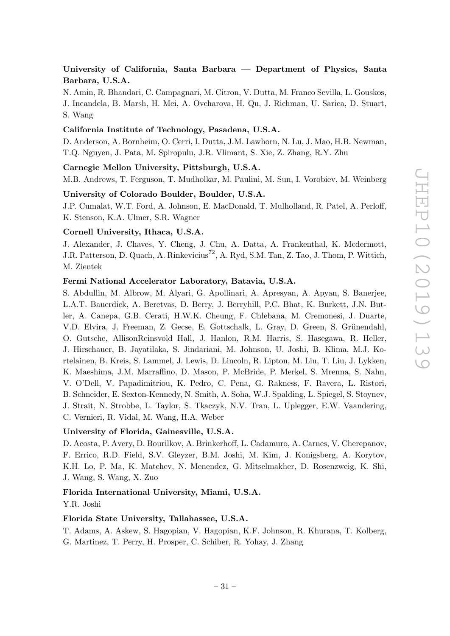## University of California, Santa Barbara — Department of Physics, Santa Barbara, U.S.A.

N. Amin, R. Bhandari, C. Campagnari, M. Citron, V. Dutta, M. Franco Sevilla, L. Gouskos, J. Incandela, B. Marsh, H. Mei, A. Ovcharova, H. Qu, J. Richman, U. Sarica, D. Stuart, S. Wang

### California Institute of Technology, Pasadena, U.S.A.

D. Anderson, A. Bornheim, O. Cerri, I. Dutta, J.M. Lawhorn, N. Lu, J. Mao, H.B. Newman, T.Q. Nguyen, J. Pata, M. Spiropulu, J.R. Vlimant, S. Xie, Z. Zhang, R.Y. Zhu

### Carnegie Mellon University, Pittsburgh, U.S.A.

M.B. Andrews, T. Ferguson, T. Mudholkar, M. Paulini, M. Sun, I. Vorobiev, M. Weinberg

## University of Colorado Boulder, Boulder, U.S.A.

J.P. Cumalat, W.T. Ford, A. Johnson, E. MacDonald, T. Mulholland, R. Patel, A. Perloff, K. Stenson, K.A. Ulmer, S.R. Wagner

#### Cornell University, Ithaca, U.S.A.

J. Alexander, J. Chaves, Y. Cheng, J. Chu, A. Datta, A. Frankenthal, K. Mcdermott, J.R. Patterson, D. Quach, A. Rinkevicius<sup>72</sup>, A. Ryd, S.M. Tan, Z. Tao, J. Thom, P. Wittich, M. Zientek

### Fermi National Accelerator Laboratory, Batavia, U.S.A.

S. Abdullin, M. Albrow, M. Alyari, G. Apollinari, A. Apresyan, A. Apyan, S. Banerjee, L.A.T. Bauerdick, A. Beretvas, D. Berry, J. Berryhill, P.C. Bhat, K. Burkett, J.N. Butler, A. Canepa, G.B. Cerati, H.W.K. Cheung, F. Chlebana, M. Cremonesi, J. Duarte, V.D. Elvira, J. Freeman, Z. Gecse, E. Gottschalk, L. Gray, D. Green, S. Grünendahl, O. Gutsche, AllisonReinsvold Hall, J. Hanlon, R.M. Harris, S. Hasegawa, R. Heller, J. Hirschauer, B. Jayatilaka, S. Jindariani, M. Johnson, U. Joshi, B. Klima, M.J. Kortelainen, B. Kreis, S. Lammel, J. Lewis, D. Lincoln, R. Lipton, M. Liu, T. Liu, J. Lykken, K. Maeshima, J.M. Marraffino, D. Mason, P. McBride, P. Merkel, S. Mrenna, S. Nahn, V. O'Dell, V. Papadimitriou, K. Pedro, C. Pena, G. Rakness, F. Ravera, L. Ristori, B. Schneider, E. Sexton-Kennedy, N. Smith, A. Soha, W.J. Spalding, L. Spiegel, S. Stoynev, J. Strait, N. Strobbe, L. Taylor, S. Tkaczyk, N.V. Tran, L. Uplegger, E.W. Vaandering, C. Vernieri, R. Vidal, M. Wang, H.A. Weber

### University of Florida, Gainesville, U.S.A.

D. Acosta, P. Avery, D. Bourilkov, A. Brinkerhoff, L. Cadamuro, A. Carnes, V. Cherepanov, F. Errico, R.D. Field, S.V. Gleyzer, B.M. Joshi, M. Kim, J. Konigsberg, A. Korytov, K.H. Lo, P. Ma, K. Matchev, N. Menendez, G. Mitselmakher, D. Rosenzweig, K. Shi, J. Wang, S. Wang, X. Zuo

### Florida International University, Miami, U.S.A.

Y.R. Joshi

### Florida State University, Tallahassee, U.S.A.

T. Adams, A. Askew, S. Hagopian, V. Hagopian, K.F. Johnson, R. Khurana, T. Kolberg, G. Martinez, T. Perry, H. Prosper, C. Schiber, R. Yohay, J. Zhang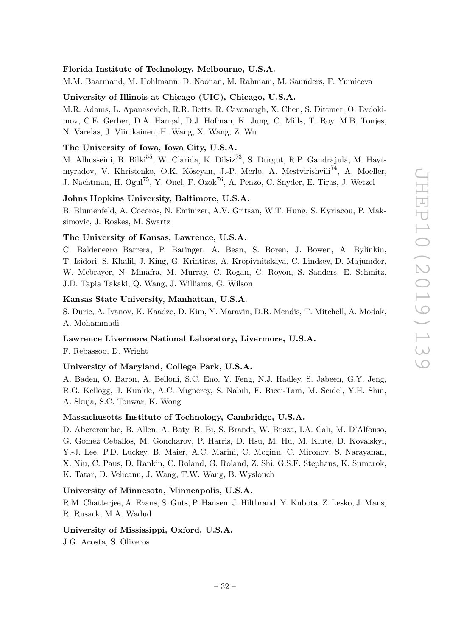### Florida Institute of Technology, Melbourne, U.S.A.

M.M. Baarmand, M. Hohlmann, D. Noonan, M. Rahmani, M. Saunders, F. Yumiceva

### University of Illinois at Chicago (UIC), Chicago, U.S.A.

M.R. Adams, L. Apanasevich, R.R. Betts, R. Cavanaugh, X. Chen, S. Dittmer, O. Evdokimov, C.E. Gerber, D.A. Hangal, D.J. Hofman, K. Jung, C. Mills, T. Roy, M.B. Tonjes, N. Varelas, J. Viinikainen, H. Wang, X. Wang, Z. Wu

### The University of Iowa, Iowa City, U.S.A.

M. Alhusseini, B. Bilki<sup>55</sup>, W. Clarida, K. Dilsiz<sup>73</sup>, S. Durgut, R.P. Gandrajula, M. Haytmyradov, V. Khristenko, O.K. Köseyan, J.-P. Merlo, A. Mestvirishvili<sup>74</sup>, A. Moeller, J. Nachtman, H. Ogul75, Y. Onel, F. Ozok76, A. Penzo, C. Snyder, E. Tiras, J. Wetzel

## Johns Hopkins University, Baltimore, U.S.A.

B. Blumenfeld, A. Cocoros, N. Eminizer, A.V. Gritsan, W.T. Hung, S. Kyriacou, P. Maksimovic, J. Roskes, M. Swartz

#### The University of Kansas, Lawrence, U.S.A.

C. Baldenegro Barrera, P. Baringer, A. Bean, S. Boren, J. Bowen, A. Bylinkin, T. Isidori, S. Khalil, J. King, G. Krintiras, A. Kropivnitskaya, C. Lindsey, D. Majumder, W. Mcbrayer, N. Minafra, M. Murray, C. Rogan, C. Royon, S. Sanders, E. Schmitz, J.D. Tapia Takaki, Q. Wang, J. Williams, G. Wilson

#### Kansas State University, Manhattan, U.S.A.

S. Duric, A. Ivanov, K. Kaadze, D. Kim, Y. Maravin, D.R. Mendis, T. Mitchell, A. Modak, A. Mohammadi

#### Lawrence Livermore National Laboratory, Livermore, U.S.A.

F. Rebassoo, D. Wright

### University of Maryland, College Park, U.S.A.

A. Baden, O. Baron, A. Belloni, S.C. Eno, Y. Feng, N.J. Hadley, S. Jabeen, G.Y. Jeng, R.G. Kellogg, J. Kunkle, A.C. Mignerey, S. Nabili, F. Ricci-Tam, M. Seidel, Y.H. Shin, A. Skuja, S.C. Tonwar, K. Wong

## Massachusetts Institute of Technology, Cambridge, U.S.A.

D. Abercrombie, B. Allen, A. Baty, R. Bi, S. Brandt, W. Busza, I.A. Cali, M. D'Alfonso, G. Gomez Ceballos, M. Goncharov, P. Harris, D. Hsu, M. Hu, M. Klute, D. Kovalskyi, Y.-J. Lee, P.D. Luckey, B. Maier, A.C. Marini, C. Mcginn, C. Mironov, S. Narayanan, X. Niu, C. Paus, D. Rankin, C. Roland, G. Roland, Z. Shi, G.S.F. Stephans, K. Sumorok, K. Tatar, D. Velicanu, J. Wang, T.W. Wang, B. Wyslouch

### University of Minnesota, Minneapolis, U.S.A.

R.M. Chatterjee, A. Evans, S. Guts, P. Hansen, J. Hiltbrand, Y. Kubota, Z. Lesko, J. Mans, R. Rusack, M.A. Wadud

#### University of Mississippi, Oxford, U.S.A.

J.G. Acosta, S. Oliveros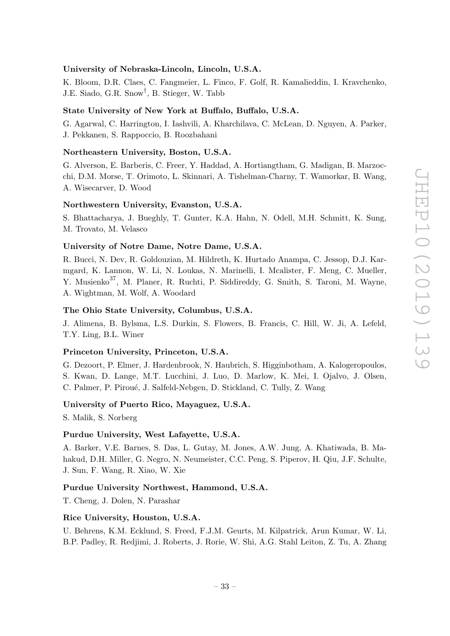#### University of Nebraska-Lincoln, Lincoln, U.S.A.

K. Bloom, D.R. Claes, C. Fangmeier, L. Finco, F. Golf, R. Kamalieddin, I. Kravchenko, J.E. Siado, G.R. Snow† , B. Stieger, W. Tabb

### State University of New York at Buffalo, Buffalo, U.S.A.

G. Agarwal, C. Harrington, I. Iashvili, A. Kharchilava, C. McLean, D. Nguyen, A. Parker, J. Pekkanen, S. Rappoccio, B. Roozbahani

### Northeastern University, Boston, U.S.A.

G. Alverson, E. Barberis, C. Freer, Y. Haddad, A. Hortiangtham, G. Madigan, B. Marzocchi, D.M. Morse, T. Orimoto, L. Skinnari, A. Tishelman-Charny, T. Wamorkar, B. Wang, A. Wisecarver, D. Wood

#### Northwestern University, Evanston, U.S.A.

S. Bhattacharya, J. Bueghly, T. Gunter, K.A. Hahn, N. Odell, M.H. Schmitt, K. Sung, M. Trovato, M. Velasco

### University of Notre Dame, Notre Dame, U.S.A.

R. Bucci, N. Dev, R. Goldouzian, M. Hildreth, K. Hurtado Anampa, C. Jessop, D.J. Karmgard, K. Lannon, W. Li, N. Loukas, N. Marinelli, I. Mcalister, F. Meng, C. Mueller, Y. Musienko<sup>37</sup>, M. Planer, R. Ruchti, P. Siddireddy, G. Smith, S. Taroni, M. Wayne, A. Wightman, M. Wolf, A. Woodard

#### The Ohio State University, Columbus, U.S.A.

J. Alimena, B. Bylsma, L.S. Durkin, S. Flowers, B. Francis, C. Hill, W. Ji, A. Lefeld, T.Y. Ling, B.L. Winer

### Princeton University, Princeton, U.S.A.

G. Dezoort, P. Elmer, J. Hardenbrook, N. Haubrich, S. Higginbotham, A. Kalogeropoulos, S. Kwan, D. Lange, M.T. Lucchini, J. Luo, D. Marlow, K. Mei, I. Ojalvo, J. Olsen, C. Palmer, P. Piroué, J. Salfeld-Nebgen, D. Stickland, C. Tully, Z. Wang

#### University of Puerto Rico, Mayaguez, U.S.A.

S. Malik, S. Norberg

#### Purdue University, West Lafayette, U.S.A.

A. Barker, V.E. Barnes, S. Das, L. Gutay, M. Jones, A.W. Jung, A. Khatiwada, B. Mahakud, D.H. Miller, G. Negro, N. Neumeister, C.C. Peng, S. Piperov, H. Qiu, J.F. Schulte, J. Sun, F. Wang, R. Xiao, W. Xie

### Purdue University Northwest, Hammond, U.S.A.

T. Cheng, J. Dolen, N. Parashar

#### Rice University, Houston, U.S.A.

U. Behrens, K.M. Ecklund, S. Freed, F.J.M. Geurts, M. Kilpatrick, Arun Kumar, W. Li, B.P. Padley, R. Redjimi, J. Roberts, J. Rorie, W. Shi, A.G. Stahl Leiton, Z. Tu, A. Zhang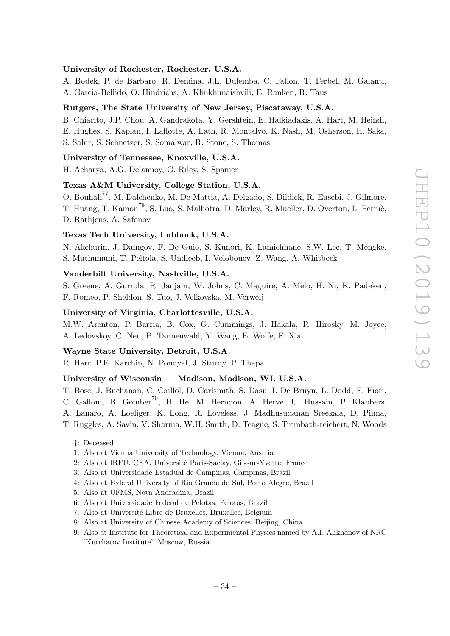### University of Rochester, Rochester, U.S.A.

A. Bodek, P. de Barbaro, R. Demina, J.L. Dulemba, C. Fallon, T. Ferbel, M. Galanti, A. Garcia-Bellido, O. Hindrichs, A. Khukhunaishvili, E. Ranken, R. Taus

#### Rutgers, The State University of New Jersey, Piscataway, U.S.A.

B. Chiarito, J.P. Chou, A. Gandrakota, Y. Gershtein, E. Halkiadakis, A. Hart, M. Heindl,

E. Hughes, S. Kaplan, I. Laflotte, A. Lath, R. Montalvo, K. Nash, M. Osherson, H. Saka,

S. Salur, S. Schnetzer, S. Somalwar, R. Stone, S. Thomas

University of Tennessee, Knoxville, U.S.A.

H. Acharya, A.G. Delannoy, G. Riley, S. Spanier

## Texas A&M University, College Station, U.S.A.

O. Bouhali<sup>77</sup>, M. Dalchenko, M. De Mattia, A. Delgado, S. Dildick, R. Eusebi, J. Gilmore,

T. Huang, T. Kamon<sup>78</sup>, S. Luo, S. Malhotra, D. Marley, R. Mueller, D. Overton, L. Perniè,

D. Rathjens, A. Safonov

### Texas Tech University, Lubbock, U.S.A.

N. Akchurin, J. Damgov, F. De Guio, S. Kunori, K. Lamichhane, S.W. Lee, T. Mengke, S. Muthumuni, T. Peltola, S. Undleeb, I. Volobouev, Z. Wang, A. Whitbeck

### Vanderbilt University, Nashville, U.S.A.

S. Greene, A. Gurrola, R. Janjam, W. Johns, C. Maguire, A. Melo, H. Ni, K. Padeken, F. Romeo, P. Sheldon, S. Tuo, J. Velkovska, M. Verweij

### University of Virginia, Charlottesville, U.S.A.

M.W. Arenton, P. Barria, B. Cox, G. Cummings, J. Hakala, R. Hirosky, M. Joyce, A. Ledovskoy, C. Neu, B. Tannenwald, Y. Wang, E. Wolfe, F. Xia

#### Wayne State University, Detroit, U.S.A.

R. Harr, P.E. Karchin, N. Poudyal, J. Sturdy, P. Thapa

## University of Wisconsin — Madison, Madison, WI, U.S.A.

T. Bose, J. Buchanan, C. Caillol, D. Carlsmith, S. Dasu, I. De Bruyn, L. Dodd, F. Fiori, C. Galloni, B. Gomber<sup>79</sup>, H. He, M. Herndon, A. Hervé, U. Hussain, P. Klabbers, A. Lanaro, A. Loeliger, K. Long, R. Loveless, J. Madhusudanan Sreekala, D. Pinna, T. Ruggles, A. Savin, V. Sharma, W.H. Smith, D. Teague, S. Trembath-reichert, N. Woods

- †: Deceased
- 1: Also at Vienna University of Technology, Vienna, Austria
- 2: Also at IRFU, CEA, Université Paris-Saclay, Gif-sur-Yvette, France
- 3: Also at Universidade Estadual de Campinas, Campinas, Brazil
- 4: Also at Federal University of Rio Grande do Sul, Porto Alegre, Brazil
- 5: Also at UFMS, Nova Andradina, Brazil
- 6: Also at Universidade Federal de Pelotas, Pelotas, Brazil
- 7: Also at Université Libre de Bruxelles, Bruxelles, Belgium
- 8: Also at University of Chinese Academy of Sciences, Beijing, China
- 9: Also at Institute for Theoretical and Experimental Physics named by A.I. Alikhanov of NRC 'Kurchatov Institute', Moscow, Russia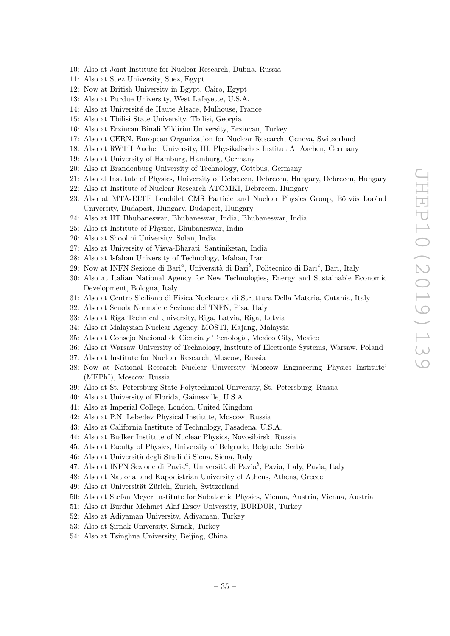- 10: Also at Joint Institute for Nuclear Research, Dubna, Russia
- 11: Also at Suez University, Suez, Egypt
- 12: Now at British University in Egypt, Cairo, Egypt
- 13: Also at Purdue University, West Lafayette, U.S.A.
- 14: Also at Université de Haute Alsace, Mulhouse, France
- 15: Also at Tbilisi State University, Tbilisi, Georgia
- 16: Also at Erzincan Binali Yildirim University, Erzincan, Turkey
- 17: Also at CERN, European Organization for Nuclear Research, Geneva, Switzerland
- 18: Also at RWTH Aachen University, III. Physikalisches Institut A, Aachen, Germany
- 19: Also at University of Hamburg, Hamburg, Germany
- 20: Also at Brandenburg University of Technology, Cottbus, Germany
- 21: Also at Institute of Physics, University of Debrecen, Debrecen, Hungary, Debrecen, Hungary
- 22: Also at Institute of Nuclear Research ATOMKI, Debrecen, Hungary
- 23: Also at MTA-ELTE Lendület CMS Particle and Nuclear Physics Group, Eötvös Loránd University, Budapest, Hungary, Budapest, Hungary
- 24: Also at IIT Bhubaneswar, Bhubaneswar, India, Bhubaneswar, India
- 25: Also at Institute of Physics, Bhubaneswar, India
- 26: Also at Shoolini University, Solan, India
- 27: Also at University of Visva-Bharati, Santiniketan, India
- 28: Also at Isfahan University of Technology, Isfahan, Iran
- 29: Now at INFN Sezione di Bari<sup>a</sup>, Università di Bari<sup>b</sup>, Politecnico di Bari<sup>c</sup>, Bari, Italy
- 30: Also at Italian National Agency for New Technologies, Energy and Sustainable Economic Development, Bologna, Italy
- 31: Also at Centro Siciliano di Fisica Nucleare e di Struttura Della Materia, Catania, Italy
- 32: Also at Scuola Normale e Sezione dell'INFN, Pisa, Italy
- 33: Also at Riga Technical University, Riga, Latvia, Riga, Latvia
- 34: Also at Malaysian Nuclear Agency, MOSTI, Kajang, Malaysia
- 35: Also at Consejo Nacional de Ciencia y Tecnología, Mexico City, Mexico
- 36: Also at Warsaw University of Technology, Institute of Electronic Systems, Warsaw, Poland
- 37: Also at Institute for Nuclear Research, Moscow, Russia
- 38: Now at National Research Nuclear University 'Moscow Engineering Physics Institute' (MEPhI), Moscow, Russia
- 39: Also at St. Petersburg State Polytechnical University, St. Petersburg, Russia
- 40: Also at University of Florida, Gainesville, U.S.A.
- 41: Also at Imperial College, London, United Kingdom
- 42: Also at P.N. Lebedev Physical Institute, Moscow, Russia
- 43: Also at California Institute of Technology, Pasadena, U.S.A.
- 44: Also at Budker Institute of Nuclear Physics, Novosibirsk, Russia
- 45: Also at Faculty of Physics, University of Belgrade, Belgrade, Serbia
- 46: Also at Universit`a degli Studi di Siena, Siena, Italy
- 47: Also at INFN Sezione di Pavia<sup>a</sup>, Università di Pavia<sup>b</sup>, Pavia, Italy, Pavia, Italy
- 48: Also at National and Kapodistrian University of Athens, Athens, Greece
- 49: Also at Universität Zürich, Zurich, Switzerland
- 50: Also at Stefan Meyer Institute for Subatomic Physics, Vienna, Austria, Vienna, Austria
- 51: Also at Burdur Mehmet Akif Ersoy University, BURDUR, Turkey
- 52: Also at Adiyaman University, Adiyaman, Turkey
- 53: Also at Sırnak University, Sirnak, Turkey
- 54: Also at Tsinghua University, Beijing, China